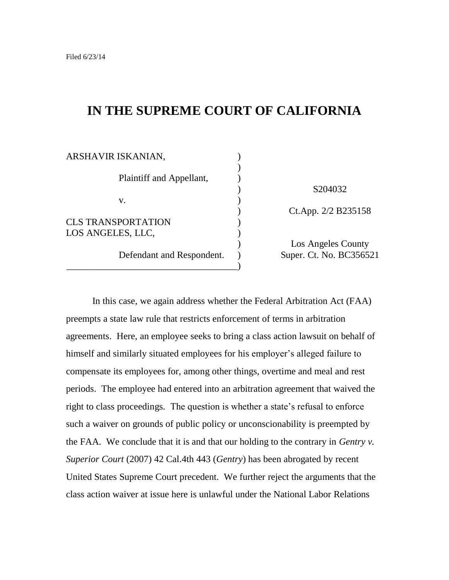# **IN THE SUPREME COURT OF CALIFORNIA**

| ARSHAVIR ISKANIAN,        |                         |
|---------------------------|-------------------------|
|                           |                         |
| Plaintiff and Appellant,  |                         |
|                           | S204032                 |
| V.                        |                         |
|                           | Ct.App. 2/2 B235158     |
| <b>CLS TRANSPORTATION</b> |                         |
| LOS ANGELES, LLC,         |                         |
|                           | Los Angeles County      |
| Defendant and Respondent. | Super. Ct. No. BC356521 |
|                           |                         |

In this case, we again address whether the Federal Arbitration Act (FAA) preempts a state law rule that restricts enforcement of terms in arbitration agreements. Here, an employee seeks to bring a class action lawsuit on behalf of himself and similarly situated employees for his employer's alleged failure to compensate its employees for, among other things, overtime and meal and rest periods. The employee had entered into an arbitration agreement that waived the right to class proceedings. The question is whether a state's refusal to enforce such a waiver on grounds of public policy or unconscionability is preempted by the FAA. We conclude that it is and that our holding to the contrary in *Gentry v. Superior Court* (2007) 42 Cal.4th 443 (*Gentry*) has been abrogated by recent United States Supreme Court precedent. We further reject the arguments that the class action waiver at issue here is unlawful under the National Labor Relations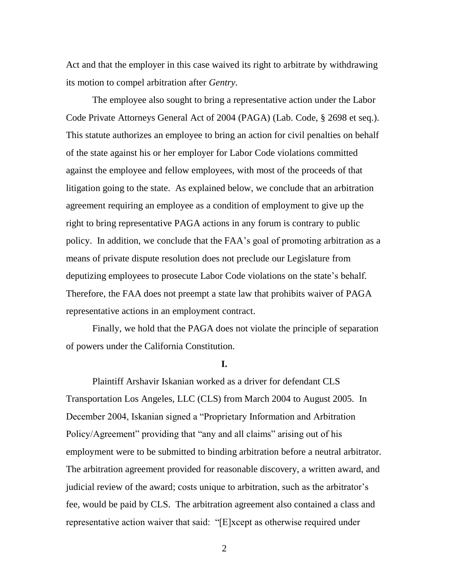Act and that the employer in this case waived its right to arbitrate by withdrawing its motion to compel arbitration after *Gentry*.

The employee also sought to bring a representative action under the Labor Code Private Attorneys General Act of 2004 (PAGA) (Lab. Code, § 2698 et seq.). This statute authorizes an employee to bring an action for civil penalties on behalf of the state against his or her employer for Labor Code violations committed against the employee and fellow employees, with most of the proceeds of that litigation going to the state. As explained below, we conclude that an arbitration agreement requiring an employee as a condition of employment to give up the right to bring representative PAGA actions in any forum is contrary to public policy. In addition, we conclude that the FAA's goal of promoting arbitration as a means of private dispute resolution does not preclude our Legislature from deputizing employees to prosecute Labor Code violations on the state's behalf. Therefore, the FAA does not preempt a state law that prohibits waiver of PAGA representative actions in an employment contract.

Finally, we hold that the PAGA does not violate the principle of separation of powers under the California Constitution.

#### **I.**

Plaintiff Arshavir Iskanian worked as a driver for defendant CLS Transportation Los Angeles, LLC (CLS) from March 2004 to August 2005. In December 2004, Iskanian signed a "Proprietary Information and Arbitration Policy/Agreement" providing that "any and all claims" arising out of his employment were to be submitted to binding arbitration before a neutral arbitrator. The arbitration agreement provided for reasonable discovery, a written award, and judicial review of the award; costs unique to arbitration, such as the arbitrator's fee, would be paid by CLS. The arbitration agreement also contained a class and representative action waiver that said: "[E]xcept as otherwise required under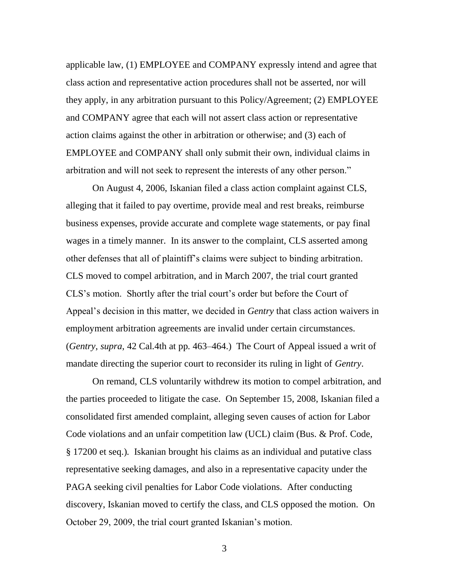applicable law, (1) EMPLOYEE and COMPANY expressly intend and agree that class action and representative action procedures shall not be asserted, nor will they apply, in any arbitration pursuant to this Policy/Agreement; (2) EMPLOYEE and COMPANY agree that each will not assert class action or representative action claims against the other in arbitration or otherwise; and (3) each of EMPLOYEE and COMPANY shall only submit their own, individual claims in arbitration and will not seek to represent the interests of any other person."

On August 4, 2006, Iskanian filed a class action complaint against CLS, alleging that it failed to pay overtime, provide meal and rest breaks, reimburse business expenses, provide accurate and complete wage statements, or pay final wages in a timely manner. In its answer to the complaint, CLS asserted among other defenses that all of plaintiff's claims were subject to binding arbitration. CLS moved to compel arbitration, and in March 2007, the trial court granted CLS's motion. Shortly after the trial court's order but before the Court of Appeal's decision in this matter, we decided in *Gentry* that class action waivers in employment arbitration agreements are invalid under certain circumstances. (*Gentry*, *supra*, 42 Cal.4th at pp. 463–464.) The Court of Appeal issued a writ of mandate directing the superior court to reconsider its ruling in light of *Gentry*.

On remand, CLS voluntarily withdrew its motion to compel arbitration, and the parties proceeded to litigate the case. On September 15, 2008, Iskanian filed a consolidated first amended complaint, alleging seven causes of action for Labor Code violations and an unfair competition law (UCL) claim (Bus. & Prof. Code, § 17200 et seq.). Iskanian brought his claims as an individual and putative class representative seeking damages, and also in a representative capacity under the PAGA seeking civil penalties for Labor Code violations. After conducting discovery, Iskanian moved to certify the class, and CLS opposed the motion. On October 29, 2009, the trial court granted Iskanian's motion.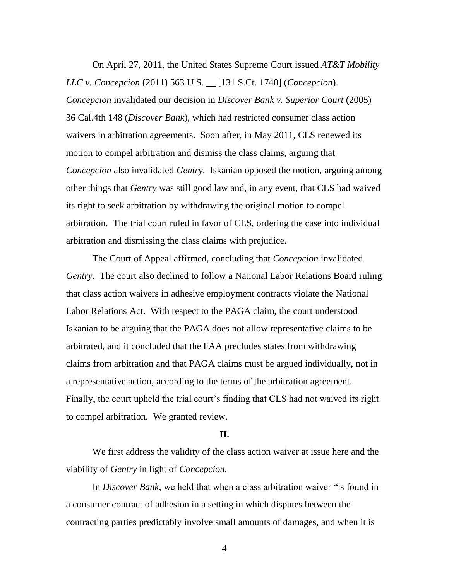On April 27, 2011, the United States Supreme Court issued *AT&T Mobility LLC v. Concepcion* (2011) 563 U.S. \_\_ [131 S.Ct. 1740] (*Concepcion*). *Concepcion* invalidated our decision in *Discover Bank v. Superior Court* (2005) 36 Cal.4th 148 (*Discover Bank*), which had restricted consumer class action waivers in arbitration agreements. Soon after, in May 2011, CLS renewed its motion to compel arbitration and dismiss the class claims, arguing that *Concepcion* also invalidated *Gentry*. Iskanian opposed the motion, arguing among other things that *Gentry* was still good law and, in any event, that CLS had waived its right to seek arbitration by withdrawing the original motion to compel arbitration. The trial court ruled in favor of CLS, ordering the case into individual arbitration and dismissing the class claims with prejudice.

The Court of Appeal affirmed, concluding that *Concepcion* invalidated *Gentry*. The court also declined to follow a National Labor Relations Board ruling that class action waivers in adhesive employment contracts violate the National Labor Relations Act. With respect to the PAGA claim, the court understood Iskanian to be arguing that the PAGA does not allow representative claims to be arbitrated, and it concluded that the FAA precludes states from withdrawing claims from arbitration and that PAGA claims must be argued individually, not in a representative action, according to the terms of the arbitration agreement. Finally, the court upheld the trial court's finding that CLS had not waived its right to compel arbitration. We granted review.

#### **II.**

We first address the validity of the class action waiver at issue here and the viability of *Gentry* in light of *Concepcion*.

In *Discover Bank*, we held that when a class arbitration waiver "is found in a consumer contract of adhesion in a setting in which disputes between the contracting parties predictably involve small amounts of damages, and when it is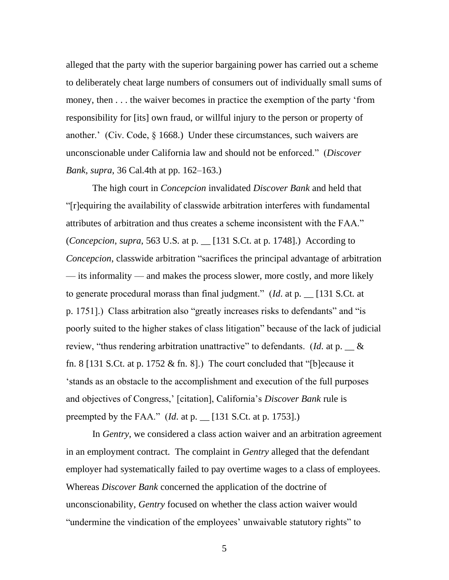alleged that the party with the superior bargaining power has carried out a scheme to deliberately cheat large numbers of consumers out of individually small sums of money, then . . . the waiver becomes in practice the exemption of the party 'from responsibility for [its] own fraud, or willful injury to the person or property of another.' (Civ. Code, § 1668.) Under these circumstances, such waivers are unconscionable under California law and should not be enforced.‖ (*Discover Bank*, *supra*, 36 Cal.4th at pp. 162–163.)

The high court in *Concepcion* invalidated *Discover Bank* and held that ―[r]equiring the availability of classwide arbitration interferes with fundamental attributes of arbitration and thus creates a scheme inconsistent with the FAA." (*Concepcion*, *supra*, 563 U.S. at p. \_\_ [131 S.Ct. at p. 1748].) According to *Concepcion*, classwide arbitration "sacrifices the principal advantage of arbitration — its informality — and makes the process slower, more costly, and more likely to generate procedural morass than final judgment." (*Id.* at p.  $\Box$  [131 S.Ct. at p. 1751].) Class arbitration also "greatly increases risks to defendants" and "is poorly suited to the higher stakes of class litigation" because of the lack of judicial review, "thus rendering arbitration unattractive" to defendants. (*Id.* at p.  $\_\&$ fn. 8 [131 S.Ct. at p. 1752  $\&$  fn. 8].) The court concluded that "[b] ecause it ‗stands as an obstacle to the accomplishment and execution of the full purposes and objectives of Congress,' [citation], California's *Discover Bank* rule is preempted by the FAA." (*Id.* at p.  $\lfloor 131 \text{ S.Ct. at p. } 1753 \rfloor$ .)

In *Gentry*, we considered a class action waiver and an arbitration agreement in an employment contract. The complaint in *Gentry* alleged that the defendant employer had systematically failed to pay overtime wages to a class of employees. Whereas *Discover Bank* concerned the application of the doctrine of unconscionability, *Gentry* focused on whether the class action waiver would "undermine the vindication of the employees' unwaivable statutory rights" to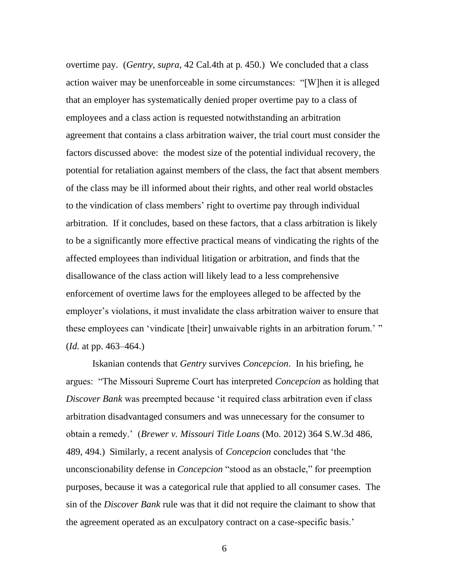overtime pay. (*Gentry*, *supra*, 42 Cal.4th at p. 450.) We concluded that a class action waiver may be unenforceable in some circumstances: "[W]hen it is alleged that an employer has systematically denied proper overtime pay to a class of employees and a class action is requested notwithstanding an arbitration agreement that contains a class arbitration waiver, the trial court must consider the factors discussed above: the modest size of the potential individual recovery, the potential for retaliation against members of the class, the fact that absent members of the class may be ill informed about their rights, and other real world obstacles to the vindication of class members' right to overtime pay through individual arbitration. If it concludes, based on these factors, that a class arbitration is likely to be a significantly more effective practical means of vindicating the rights of the affected employees than individual litigation or arbitration, and finds that the disallowance of the class action will likely lead to a less comprehensive enforcement of overtime laws for the employees alleged to be affected by the employer's violations, it must invalidate the class arbitration waiver to ensure that these employees can 'vindicate [their] unwaivable rights in an arbitration forum.' " (*Id.* at pp. 463–464.)

Iskanian contends that *Gentry* survives *Concepcion*. In his briefing, he argues: ―The Missouri Supreme Court has interpreted *Concepcion* as holding that *Discover Bank* was preempted because 'it required class arbitration even if class arbitration disadvantaged consumers and was unnecessary for the consumer to obtain a remedy.' (*Brewer v. Missouri Title Loans* (Mo. 2012) 364 S.W.3d 486, 489, 494.) Similarly, a recent analysis of *Concepcion* concludes that ‗the unconscionability defense in *Concepcion* "stood as an obstacle," for preemption purposes, because it was a categorical rule that applied to all consumer cases. The sin of the *Discover Bank* rule was that it did not require the claimant to show that the agreement operated as an exculpatory contract on a case-specific basis.'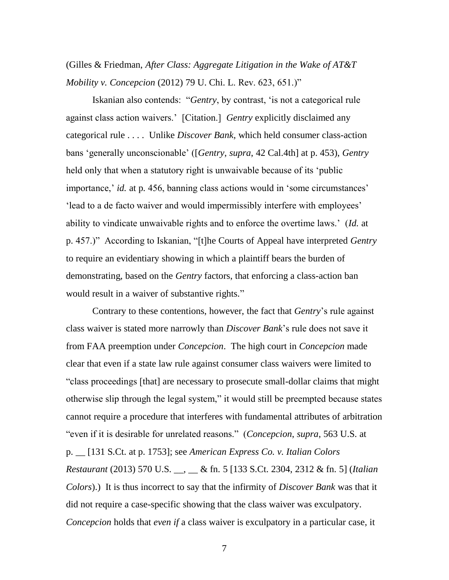# (Gilles & Friedman, *After Class: Aggregate Litigation in the Wake of AT&T Mobility v. Concepcion* (2012) 79 U. Chi. L. Rev. 623, 651.)"

Iskanian also contends: "Gentry, by contrast, 'is not a categorical rule against class action waivers.' [Citation.] *Gentry* explicitly disclaimed any categorical rule . . . . Unlike *Discover Bank*, which held consumer class-action bans ‗generally unconscionable' ([*Gentry*, *supra*, 42 Cal.4th] at p. 453), *Gentry* held only that when a statutory right is unwaivable because of its 'public importance,' *id.* at p. 456, banning class actions would in 'some circumstances' 'lead to a de facto waiver and would impermissibly interfere with employees' ability to vindicate unwaivable rights and to enforce the overtime laws.' (*Id.* at p. 457.)" According to Iskanian, "[t]he Courts of Appeal have interpreted *Gentry* to require an evidentiary showing in which a plaintiff bears the burden of demonstrating, based on the *Gentry* factors, that enforcing a class-action ban would result in a waiver of substantive rights."

Contrary to these contentions, however, the fact that *Gentry*'s rule against class waiver is stated more narrowly than *Discover Bank*'s rule does not save it from FAA preemption under *Concepcion*. The high court in *Concepcion* made clear that even if a state law rule against consumer class waivers were limited to ―class proceedings [that] are necessary to prosecute small-dollar claims that might otherwise slip through the legal system," it would still be preempted because states cannot require a procedure that interferes with fundamental attributes of arbitration "even if it is desirable for unrelated reasons." (*Concepcion*, *supra*, 563 U.S. at p. \_\_ [131 S.Ct. at p. 1753]; see *American Express Co. v. Italian Colors Restaurant* (2013) 570 U.S. \_\_, \_\_ & fn. 5 [133 S.Ct. 2304, 2312 & fn. 5] (*Italian Colors*).) It is thus incorrect to say that the infirmity of *Discover Bank* was that it did not require a case-specific showing that the class waiver was exculpatory. *Concepcion* holds that *even if* a class waiver is exculpatory in a particular case, it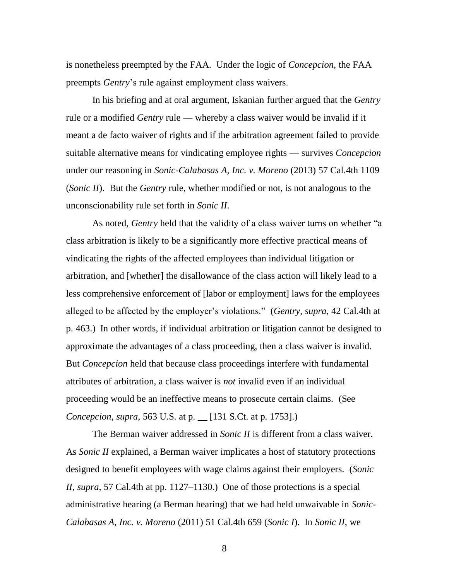is nonetheless preempted by the FAA. Under the logic of *Concepcion*, the FAA preempts *Gentry*'s rule against employment class waivers.

In his briefing and at oral argument, Iskanian further argued that the *Gentry* rule or a modified *Gentry* rule — whereby a class waiver would be invalid if it meant a de facto waiver of rights and if the arbitration agreement failed to provide suitable alternative means for vindicating employee rights — survives *Concepcion* under our reasoning in *Sonic-Calabasas A, Inc. v. Moreno* (2013) 57 Cal.4th 1109 (*Sonic II*). But the *Gentry* rule, whether modified or not, is not analogous to the unconscionability rule set forth in *Sonic II*.

As noted, *Gentry* held that the validity of a class waiver turns on whether "a class arbitration is likely to be a significantly more effective practical means of vindicating the rights of the affected employees than individual litigation or arbitration, and [whether] the disallowance of the class action will likely lead to a less comprehensive enforcement of [labor or employment] laws for the employees alleged to be affected by the employer's violations.‖ (*Gentry*, *supra*, 42 Cal.4th at p. 463.) In other words, if individual arbitration or litigation cannot be designed to approximate the advantages of a class proceeding, then a class waiver is invalid. But *Concepcion* held that because class proceedings interfere with fundamental attributes of arbitration, a class waiver is *not* invalid even if an individual proceeding would be an ineffective means to prosecute certain claims. (See *Concepcion*, *supra*, 563 U.S. at p. \_\_ [131 S.Ct. at p. 1753].)

The Berman waiver addressed in *Sonic II* is different from a class waiver. As *Sonic II* explained, a Berman waiver implicates a host of statutory protections designed to benefit employees with wage claims against their employers. (*Sonic II*, *supra*, 57 Cal.4th at pp. 1127–1130.) One of those protections is a special administrative hearing (a Berman hearing) that we had held unwaivable in *Sonic-Calabasas A, Inc. v. Moreno* (2011) 51 Cal.4th 659 (*Sonic I*). In *Sonic II*, we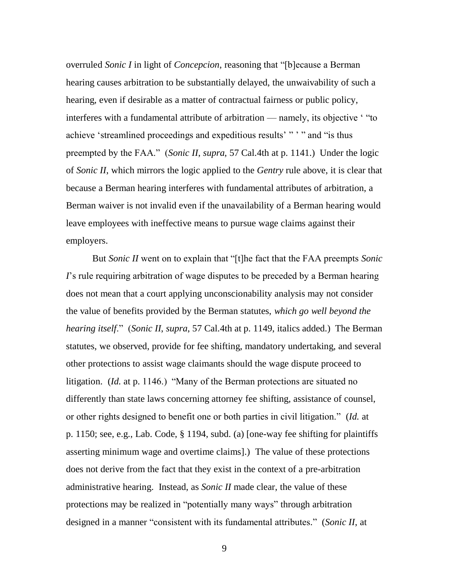overruled *Sonic I* in light of *Concepcion*, reasoning that "[b]ecause a Berman hearing causes arbitration to be substantially delayed, the unwaivability of such a hearing, even if desirable as a matter of contractual fairness or public policy, interferes with a fundamental attribute of arbitration — namely, its objective "to achieve 'streamlined proceedings and expeditious results' " ' " and "is thus preempted by the FAA." (*Sonic II*, *supra*, 57 Cal.4th at p. 1141.) Under the logic of *Sonic II*, which mirrors the logic applied to the *Gentry* rule above, it is clear that because a Berman hearing interferes with fundamental attributes of arbitration, a Berman waiver is not invalid even if the unavailability of a Berman hearing would leave employees with ineffective means to pursue wage claims against their employers.

But *Sonic II* went on to explain that "[t]he fact that the FAA preempts *Sonic I*'s rule requiring arbitration of wage disputes to be preceded by a Berman hearing does not mean that a court applying unconscionability analysis may not consider the value of benefits provided by the Berman statutes, *which go well beyond the hearing itself*.‖ (*Sonic II*, *supra*, 57 Cal.4th at p. 1149, italics added.) The Berman statutes, we observed, provide for fee shifting, mandatory undertaking, and several other protections to assist wage claimants should the wage dispute proceed to litigation. (*Id.* at p. 1146.) "Many of the Berman protections are situated no differently than state laws concerning attorney fee shifting, assistance of counsel, or other rights designed to benefit one or both parties in civil litigation." (*Id.* at p. 1150; see, e.g., Lab. Code, § 1194, subd. (a) [one-way fee shifting for plaintiffs asserting minimum wage and overtime claims].) The value of these protections does not derive from the fact that they exist in the context of a pre-arbitration administrative hearing. Instead, as *Sonic II* made clear, the value of these protections may be realized in "potentially many ways" through arbitration designed in a manner "consistent with its fundamental attributes." (*Sonic II*, at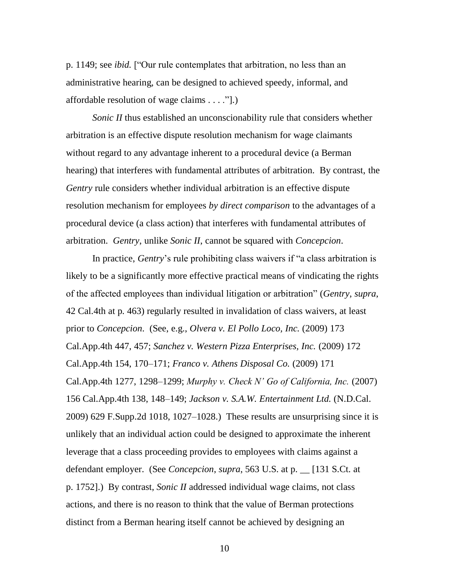p. 1149; see *ibid*. ["Our rule contemplates that arbitration, no less than an administrative hearing, can be designed to achieved speedy, informal, and affordable resolution of wage claims . . . .‖].)

*Sonic II* thus established an unconscionability rule that considers whether arbitration is an effective dispute resolution mechanism for wage claimants without regard to any advantage inherent to a procedural device (a Berman hearing) that interferes with fundamental attributes of arbitration. By contrast, the *Gentry* rule considers whether individual arbitration is an effective dispute resolution mechanism for employees *by direct comparison* to the advantages of a procedural device (a class action) that interferes with fundamental attributes of arbitration. *Gentry*, unlike *Sonic II*, cannot be squared with *Concepcion*.

In practice, *Gentry*'s rule prohibiting class waivers if "a class arbitration is likely to be a significantly more effective practical means of vindicating the rights of the affected employees than individual litigation or arbitration‖ (*Gentry*, *supra*, 42 Cal.4th at p. 463) regularly resulted in invalidation of class waivers, at least prior to *Concepcion*. (See, e.g., *Olvera v. El Pollo Loco, Inc.* (2009) 173 Cal.App.4th 447, 457; *Sanchez v. Western Pizza Enterprises, Inc.* (2009) 172 Cal.App.4th 154, 170–171; *Franco v. Athens Disposal Co.* (2009) 171 Cal.App.4th 1277, 1298–1299; *Murphy v. Check N' Go of California, Inc.* (2007) 156 Cal.App.4th 138, 148–149; *Jackson v. S.A.W. Entertainment Ltd.* (N.D.Cal. 2009) 629 F.Supp.2d 1018, 1027–1028.) These results are unsurprising since it is unlikely that an individual action could be designed to approximate the inherent leverage that a class proceeding provides to employees with claims against a defendant employer. (See *Concepcion*, *supra*, 563 U.S. at p. \_\_ [131 S.Ct. at p. 1752].) By contrast, *Sonic II* addressed individual wage claims, not class actions, and there is no reason to think that the value of Berman protections distinct from a Berman hearing itself cannot be achieved by designing an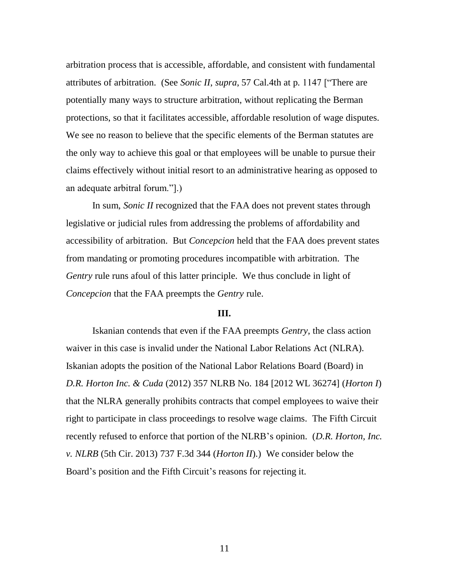arbitration process that is accessible, affordable, and consistent with fundamental attributes of arbitration. (See *Sonic II*, *supra*, 57 Cal.4th at p. 1147 ["There are potentially many ways to structure arbitration, without replicating the Berman protections, so that it facilitates accessible, affordable resolution of wage disputes. We see no reason to believe that the specific elements of the Berman statutes are the only way to achieve this goal or that employees will be unable to pursue their claims effectively without initial resort to an administrative hearing as opposed to an adequate arbitral forum.".)

In sum, *Sonic II* recognized that the FAA does not prevent states through legislative or judicial rules from addressing the problems of affordability and accessibility of arbitration. But *Concepcion* held that the FAA does prevent states from mandating or promoting procedures incompatible with arbitration. The *Gentry* rule runs afoul of this latter principle. We thus conclude in light of *Concepcion* that the FAA preempts the *Gentry* rule.

#### **III.**

Iskanian contends that even if the FAA preempts *Gentry*, the class action waiver in this case is invalid under the National Labor Relations Act (NLRA). Iskanian adopts the position of the National Labor Relations Board (Board) in *D.R. Horton Inc. & Cuda* (2012) 357 NLRB No. 184 [2012 WL 36274] (*Horton I*) that the NLRA generally prohibits contracts that compel employees to waive their right to participate in class proceedings to resolve wage claims. The Fifth Circuit recently refused to enforce that portion of the NLRB's opinion. (*D.R. Horton, Inc. v. NLRB* (5th Cir. 2013) 737 F.3d 344 (*Horton II*).) We consider below the Board's position and the Fifth Circuit's reasons for rejecting it.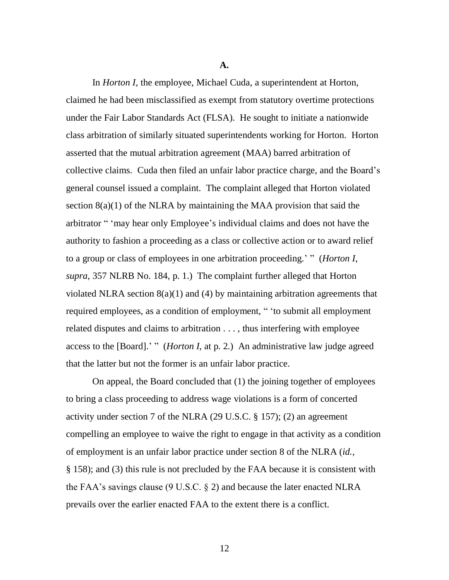**A.**

In *Horton I*, the employee, Michael Cuda, a superintendent at Horton, claimed he had been misclassified as exempt from statutory overtime protections under the Fair Labor Standards Act (FLSA). He sought to initiate a nationwide class arbitration of similarly situated superintendents working for Horton. Horton asserted that the mutual arbitration agreement (MAA) barred arbitration of collective claims. Cuda then filed an unfair labor practice charge, and the Board's general counsel issued a complaint. The complaint alleged that Horton violated section  $8(a)(1)$  of the NLRA by maintaining the MAA provision that said the arbitrator " 'may hear only Employee's individual claims and does not have the authority to fashion a proceeding as a class or collective action or to award relief to a group or class of employees in one arbitration proceeding.' " (*Horton I*, *supra*, 357 NLRB No. 184, p. 1.) The complaint further alleged that Horton violated NLRA section 8(a)(1) and (4) by maintaining arbitration agreements that required employees, as a condition of employment, " 'to submit all employment related disputes and claims to arbitration . . . , thus interfering with employee access to the [Board].' " (*Horton I*, at p. 2.) An administrative law judge agreed that the latter but not the former is an unfair labor practice.

On appeal, the Board concluded that (1) the joining together of employees to bring a class proceeding to address wage violations is a form of concerted activity under section 7 of the NLRA (29 U.S.C. § 157); (2) an agreement compelling an employee to waive the right to engage in that activity as a condition of employment is an unfair labor practice under section 8 of the NLRA (*id.*, § 158); and (3) this rule is not precluded by the FAA because it is consistent with the FAA's savings clause (9 U.S.C. § 2) and because the later enacted NLRA prevails over the earlier enacted FAA to the extent there is a conflict.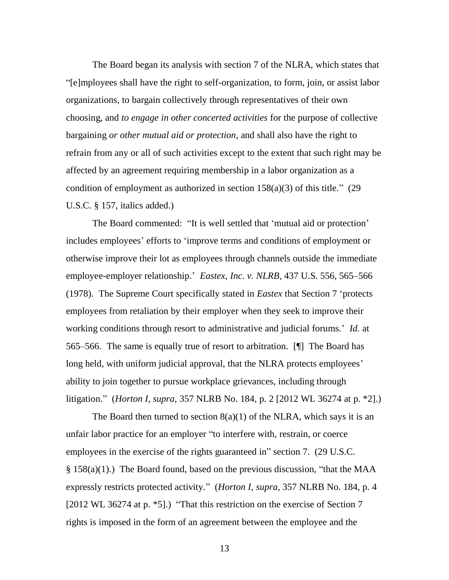The Board began its analysis with section 7 of the NLRA, which states that ―[e]mployees shall have the right to self-organization, to form, join, or assist labor organizations, to bargain collectively through representatives of their own choosing, and *to engage in other concerted activities* for the purpose of collective bargaining *or other mutual aid or protection*, and shall also have the right to refrain from any or all of such activities except to the extent that such right may be affected by an agreement requiring membership in a labor organization as a condition of employment as authorized in section  $158(a)(3)$  of this title." (29) U.S.C. § 157, italics added.)

The Board commented: "It is well settled that 'mutual aid or protection' includes employees' efforts to 'improve terms and conditions of employment or otherwise improve their lot as employees through channels outside the immediate employee-employer relationship.' *Eastex, Inc. v. NLRB*, 437 U.S. 556, 565–566 (1978). The Supreme Court specifically stated in *Eastex* that Section 7 ‗protects employees from retaliation by their employer when they seek to improve their working conditions through resort to administrative and judicial forums.' *Id.* at 565–566. The same is equally true of resort to arbitration. [¶] The Board has long held, with uniform judicial approval, that the NLRA protects employees' ability to join together to pursue workplace grievances, including through litigation.‖ (*Horton I*, *supra*, 357 NLRB No. 184, p. 2 [2012 WL 36274 at p. \*2].)

The Board then turned to section  $8(a)(1)$  of the NLRA, which says it is an unfair labor practice for an employer "to interfere with, restrain, or coerce employees in the exercise of the rights guaranteed in" section 7. (29 U.S.C.)  $§ 158(a)(1)$ .) The Board found, based on the previous discussion, "that the MAA expressly restricts protected activity." (*Horton I, supra,* 357 NLRB No. 184, p. 4 [2012 WL 36274 at p.  $*5$ ].) "That this restriction on the exercise of Section 7 rights is imposed in the form of an agreement between the employee and the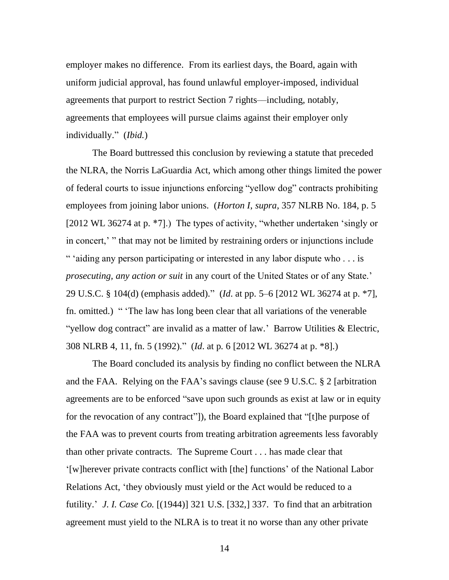employer makes no difference. From its earliest days, the Board, again with uniform judicial approval, has found unlawful employer-imposed, individual agreements that purport to restrict Section 7 rights––including, notably, agreements that employees will pursue claims against their employer only individually." (*Ibid.*)

The Board buttressed this conclusion by reviewing a statute that preceded the NLRA, the Norris LaGuardia Act, which among other things limited the power of federal courts to issue injunctions enforcing "yellow dog" contracts prohibiting employees from joining labor unions. (*Horton I*, *supra*, 357 NLRB No. 184, p. 5 [2012 WL 36274 at p.  $*7$ ].) The types of activity, "whether undertaken 'singly or in concert,' " that may not be limited by restraining orders or injunctions include " 'aiding any person participating or interested in any labor dispute who  $\dots$  is *prosecuting, any action or suit* in any court of the United States or of any State.' 29 U.S.C. § 104(d) (emphasis added).‖ (*Id*. at pp. 5–6 [2012 WL 36274 at p. \*7], fn. omitted.) " The law has long been clear that all variations of the venerable "yellow dog contract" are invalid as a matter of law.' Barrow Utilities & Electric, 308 NLRB 4, 11, fn. 5 (1992).‖ (*Id*. at p. 6 [2012 WL 36274 at p. \*8].)

The Board concluded its analysis by finding no conflict between the NLRA and the FAA. Relying on the FAA's savings clause (see 9 U.S.C. § 2 [arbitration agreements are to be enforced "save upon such grounds as exist at law or in equity for the revocation of any contract"]), the Board explained that "[t]he purpose of the FAA was to prevent courts from treating arbitration agreements less favorably than other private contracts. The Supreme Court . . . has made clear that ‗[w]herever private contracts conflict with [the] functions' of the National Labor Relations Act, 'they obviously must yield or the Act would be reduced to a futility.' *J. I. Case Co.* [(1944)] 321 U.S. [332,] 337. To find that an arbitration agreement must yield to the NLRA is to treat it no worse than any other private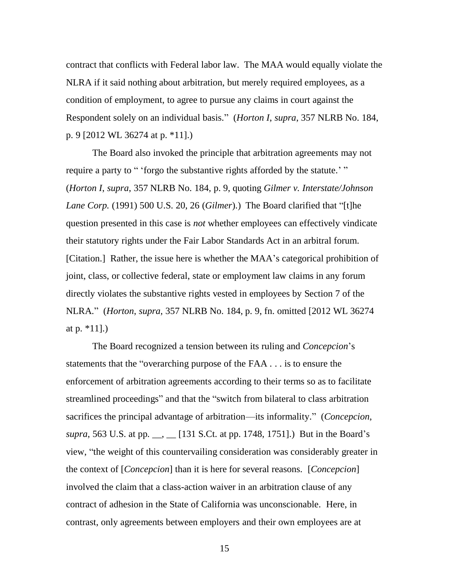contract that conflicts with Federal labor law. The MAA would equally violate the NLRA if it said nothing about arbitration, but merely required employees, as a condition of employment, to agree to pursue any claims in court against the Respondent solely on an individual basis.‖ (*Horton I*, *supra*, 357 NLRB No. 184, p. 9 [2012 WL 36274 at p. \*11].)

The Board also invoked the principle that arbitration agreements may not require a party to " 'forgo the substantive rights afforded by the statute.' " (*Horton I*, *supra*, 357 NLRB No. 184, p. 9, quoting *Gilmer v. Interstate/Johnson Lane Corp.* (1991) 500 U.S. 20, 26 (*Gilmer*).) The Board clarified that "[t]he question presented in this case is *not* whether employees can effectively vindicate their statutory rights under the Fair Labor Standards Act in an arbitral forum. [Citation.] Rather, the issue here is whether the MAA's categorical prohibition of joint, class, or collective federal, state or employment law claims in any forum directly violates the substantive rights vested in employees by Section 7 of the NLRA.‖ (*Horton*, *supra*, 357 NLRB No. 184, p. 9, fn. omitted [2012 WL 36274 at p.  $*11$ ].)

The Board recognized a tension between its ruling and *Concepcion*'s statements that the "overarching purpose of the  $FAA \dots$  is to ensure the enforcement of arbitration agreements according to their terms so as to facilitate streamlined proceedings" and that the "switch from bilateral to class arbitration sacrifices the principal advantage of arbitration—its informality." (*Concepcion*, *supra*, 563 U.S. at pp. \_\_, \_\_ [131 S.Ct. at pp. 1748, 1751].) But in the Board's view, "the weight of this countervailing consideration was considerably greater in the context of [*Concepcion*] than it is here for several reasons. [*Concepcion*] involved the claim that a class-action waiver in an arbitration clause of any contract of adhesion in the State of California was unconscionable. Here, in contrast, only agreements between employers and their own employees are at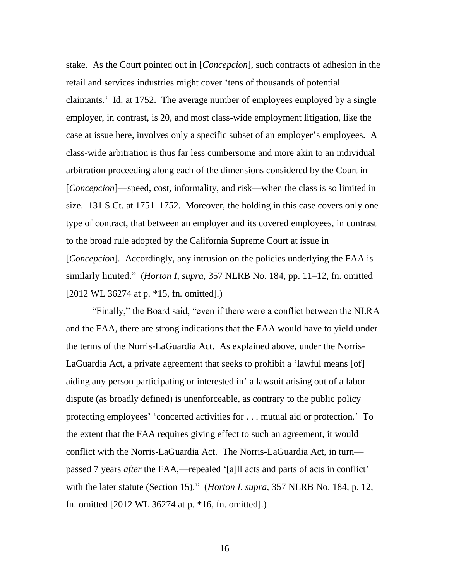stake. As the Court pointed out in [*Concepcion*], such contracts of adhesion in the retail and services industries might cover 'tens of thousands of potential claimants.' Id. at 1752. The average number of employees employed by a single employer, in contrast, is 20, and most class-wide employment litigation, like the case at issue here, involves only a specific subset of an employer's employees. A class-wide arbitration is thus far less cumbersome and more akin to an individual arbitration proceeding along each of the dimensions considered by the Court in [*Concepcion*]—speed, cost, informality, and risk—when the class is so limited in size. 131 S.Ct. at 1751–1752. Moreover, the holding in this case covers only one type of contract, that between an employer and its covered employees, in contrast to the broad rule adopted by the California Supreme Court at issue in [*Concepcion*]. Accordingly, any intrusion on the policies underlying the FAA is similarly limited." (*Horton I, supra,* 357 NLRB No. 184, pp. 11–12, fn. omitted [2012 WL 36274 at p. \*15, fn. omitted].)

"Finally," the Board said, "even if there were a conflict between the NLRA and the FAA, there are strong indications that the FAA would have to yield under the terms of the Norris-LaGuardia Act. As explained above, under the Norris-LaGuardia Act, a private agreement that seeks to prohibit a 'lawful means [of] aiding any person participating or interested in' a lawsuit arising out of a labor dispute (as broadly defined) is unenforceable, as contrary to the public policy protecting employees' ‗concerted activities for . . . mutual aid or protection.' To the extent that the FAA requires giving effect to such an agreement, it would conflict with the Norris-LaGuardia Act. The Norris-LaGuardia Act, in turn passed 7 years *after* the FAA,—repealed '[a]ll acts and parts of acts in conflict' with the later statute (Section 15)." (*Horton I, supra, 357 NLRB No. 184, p. 12,* fn. omitted [2012 WL 36274 at p. \*16, fn. omitted].)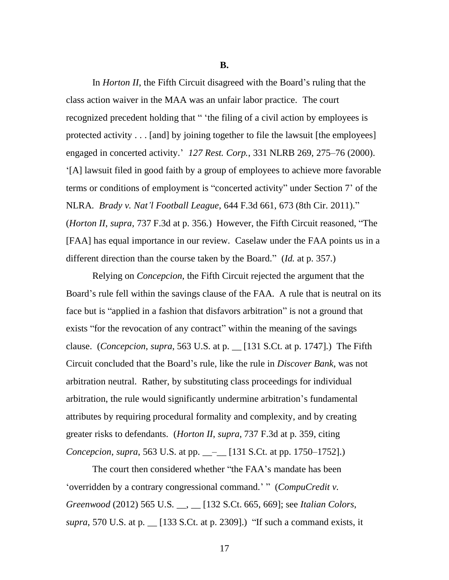**B.**

In *Horton II*, the Fifth Circuit disagreed with the Board's ruling that the class action waiver in the MAA was an unfair labor practice. The court recognized precedent holding that " 'the filing of a civil action by employees is protected activity . . . [and] by joining together to file the lawsuit [the employees] engaged in concerted activity.' *127 Rest. Corp.*, 331 NLRB 269, 275–76 (2000). ‗[A] lawsuit filed in good faith by a group of employees to achieve more favorable terms or conditions of employment is "concerted activity" under Section 7' of the NLRA. *Brady v. Nat'l Football League*, 644 F.3d 661, 673 (8th Cir. 2011)." (*Horton II*, *supra*, 737 F.3d at p. 356.) However, the Fifth Circuit reasoned, "The [FAA] has equal importance in our review. Caselaw under the FAA points us in a different direction than the course taken by the Board." (*Id.* at p. 357.)

Relying on *Concepcion*, the Fifth Circuit rejected the argument that the Board's rule fell within the savings clause of the FAA. A rule that is neutral on its face but is "applied in a fashion that disfavors arbitration" is not a ground that exists "for the revocation of any contract" within the meaning of the savings clause. (*Concepcion*, *supra*, 563 U.S. at p. \_\_ [131 S.Ct. at p. 1747].) The Fifth Circuit concluded that the Board's rule, like the rule in *Discover Bank*, was not arbitration neutral. Rather, by substituting class proceedings for individual arbitration, the rule would significantly undermine arbitration's fundamental attributes by requiring procedural formality and complexity, and by creating greater risks to defendants. (*Horton II*, *supra*, 737 F.3d at p. 359, citing *Concepcion*, *supra*, 563 U.S. at pp. \_\_–\_\_ [131 S.Ct. at pp. 1750–1752].)

The court then considered whether "the FAA's mandate has been ‗overridden by a contrary congressional command.' ‖ (*CompuCredit v. Greenwood* (2012) 565 U.S. \_\_, \_\_ [132 S.Ct. 665, 669]; see *Italian Colors*, *supra*, 570 U.S. at p. \_\_ [133 S.Ct. at p. 2309].) "If such a command exists, it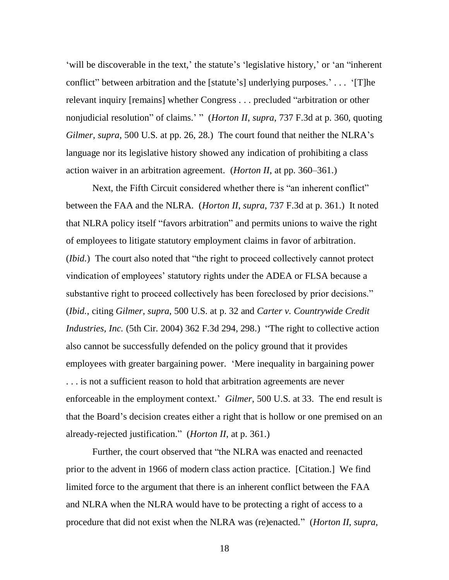'will be discoverable in the text,' the statute's 'legislative history,' or 'an "inherent" conflict" between arbitration and the [statute's] underlying purposes.' . . . '[T]he relevant inquiry [remains] whether Congress . . . precluded "arbitration or other nonjudicial resolution" of claims.' " (*Horton II, supra, 737 F.3d at p. 360, quoting Gilmer*, *supra*, 500 U.S. at pp. 26, 28.) The court found that neither the NLRA's language nor its legislative history showed any indication of prohibiting a class action waiver in an arbitration agreement. (*Horton II*, at pp. 360–361.)

Next, the Fifth Circuit considered whether there is "an inherent conflict" between the FAA and the NLRA. (*Horton II*, *supra*, 737 F.3d at p. 361.) It noted that NLRA policy itself "favors arbitration" and permits unions to waive the right of employees to litigate statutory employment claims in favor of arbitration. (*Ibid.*) The court also noted that "the right to proceed collectively cannot protect vindication of employees' statutory rights under the ADEA or FLSA because a substantive right to proceed collectively has been foreclosed by prior decisions." (*Ibid.*, citing *Gilmer*, *supra*, 500 U.S. at p. 32 and *Carter v. Countrywide Credit Industries, Inc.* (5th Cir. 2004) 362 F.3d 294, 298.) "The right to collective action also cannot be successfully defended on the policy ground that it provides employees with greater bargaining power. ‗Mere inequality in bargaining power . . . is not a sufficient reason to hold that arbitration agreements are never enforceable in the employment context.' *Gilmer*, 500 U.S. at 33. The end result is that the Board's decision creates either a right that is hollow or one premised on an already-rejected justification." (*Horton II*, at p. 361.)

Further, the court observed that "the NLRA was enacted and reenacted prior to the advent in 1966 of modern class action practice. [Citation.] We find limited force to the argument that there is an inherent conflict between the FAA and NLRA when the NLRA would have to be protecting a right of access to a procedure that did not exist when the NLRA was (re)enacted.‖ (*Horton II*, *supra*,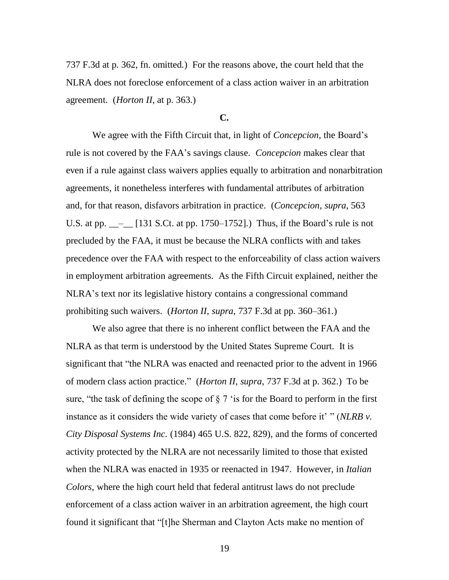737 F.3d at p. 362, fn. omitted*.*) For the reasons above, the court held that the NLRA does not foreclose enforcement of a class action waiver in an arbitration agreement. (*Horton II*, at p. 363.)

### **C.**

We agree with the Fifth Circuit that, in light of *Concepcion*, the Board's rule is not covered by the FAA's savings clause. *Concepcion* makes clear that even if a rule against class waivers applies equally to arbitration and nonarbitration agreements, it nonetheless interferes with fundamental attributes of arbitration and, for that reason, disfavors arbitration in practice. (*Concepcion*, *supra*, 563 U.S. at pp.  $\_\_$ [131 S.Ct. at pp. 1750–1752].) Thus, if the Board's rule is not precluded by the FAA, it must be because the NLRA conflicts with and takes precedence over the FAA with respect to the enforceability of class action waivers in employment arbitration agreements. As the Fifth Circuit explained, neither the NLRA's text nor its legislative history contains a congressional command prohibiting such waivers. (*Horton II*, *supra*, 737 F.3d at pp. 360–361.)

We also agree that there is no inherent conflict between the FAA and the NLRA as that term is understood by the United States Supreme Court. It is significant that "the NLRA was enacted and reenacted prior to the advent in 1966 of modern class action practice.‖ (*Horton II*, *supra*, 737 F.3d at p. 362.) To be sure, "the task of defining the scope of  $\S 7$  'is for the Board to perform in the first instance as it considers the wide variety of cases that come before it' " (*NLRB v. City Disposal Systems Inc.* (1984) 465 U.S. 822, 829), and the forms of concerted activity protected by the NLRA are not necessarily limited to those that existed when the NLRA was enacted in 1935 or reenacted in 1947. However, in *Italian Colors*, where the high court held that federal antitrust laws do not preclude enforcement of a class action waiver in an arbitration agreement, the high court found it significant that "[t]he Sherman and Clayton Acts make no mention of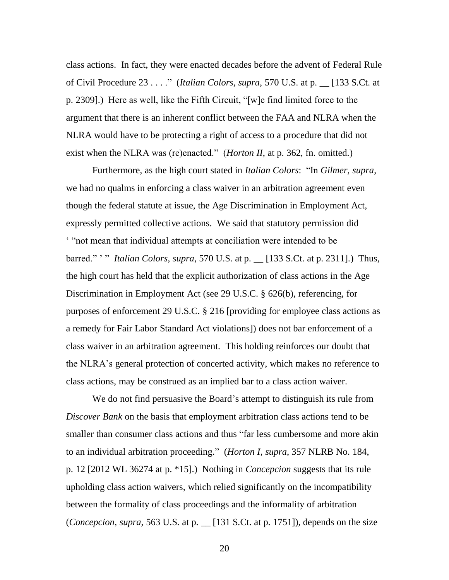class actions. In fact, they were enacted decades before the advent of Federal Rule of Civil Procedure 23 . . . ." (*Italian Colors*, *supra*, 570 U.S. at p.  $\quad$  [133 S.Ct. at p. 2309].) Here as well, like the Fifth Circuit, "[w]e find limited force to the argument that there is an inherent conflict between the FAA and NLRA when the NLRA would have to be protecting a right of access to a procedure that did not exist when the NLRA was (re)enacted." (*Horton II*, at p. 362, fn. omitted.)

Furthermore, as the high court stated in *Italian Colors*: "In *Gilmer*, *supra*, we had no qualms in enforcing a class waiver in an arbitration agreement even though the federal statute at issue, the Age Discrimination in Employment Act, expressly permitted collective actions. We said that statutory permission did ‗ ―not mean that individual attempts at conciliation were intended to be barred." <sup>'</sup>" *Italian Colors*, *supra*, 570 U.S. at p. \_\_ [133 S.Ct. at p. 2311].) Thus, the high court has held that the explicit authorization of class actions in the Age Discrimination in Employment Act (see 29 U.S.C. § 626(b), referencing, for purposes of enforcement 29 U.S.C. § 216 [providing for employee class actions as a remedy for Fair Labor Standard Act violations]) does not bar enforcement of a class waiver in an arbitration agreement. This holding reinforces our doubt that the NLRA's general protection of concerted activity, which makes no reference to class actions, may be construed as an implied bar to a class action waiver.

We do not find persuasive the Board's attempt to distinguish its rule from *Discover Bank* on the basis that employment arbitration class actions tend to be smaller than consumer class actions and thus "far less cumbersome and more akin to an individual arbitration proceeding.‖ (*Horton I*, *supra*, 357 NLRB No. 184, p. 12 [2012 WL 36274 at p. \*15].) Nothing in *Concepcion* suggests that its rule upholding class action waivers, which relied significantly on the incompatibility between the formality of class proceedings and the informality of arbitration (*Concepcion*, *supra*, 563 U.S. at p. \_\_ [131 S.Ct. at p. 1751]), depends on the size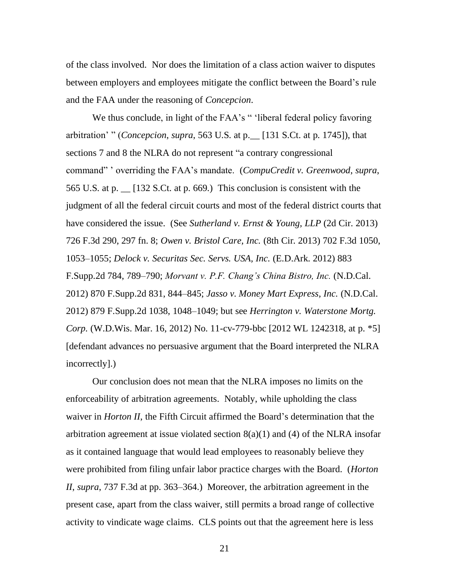of the class involved. Nor does the limitation of a class action waiver to disputes between employers and employees mitigate the conflict between the Board's rule and the FAA under the reasoning of *Concepcion*.

We thus conclude, in light of the FAA's "'liberal federal policy favoring arbitration' " (*Concepcion, supra,* 563 U.S. at p. 1131 S.Ct. at p. 1745]), that sections 7 and 8 the NLRA do not represent "a contrary congressional command‖ ' overriding the FAA's mandate. (*CompuCredit v. Greenwood*, *supra*, 565 U.S. at p. \_\_ [132 S.Ct. at p. 669.) This conclusion is consistent with the judgment of all the federal circuit courts and most of the federal district courts that have considered the issue. (See *Sutherland v. Ernst & Young, LLP* (2d Cir. 2013) 726 F.3d 290, 297 fn. 8; *Owen v. Bristol Care, Inc.* (8th Cir. 2013) 702 F.3d 1050, 1053–1055; *Delock v. Securitas Sec. Servs. USA, Inc.* (E.D.Ark. 2012) 883 F.Supp.2d 784, 789–790; *Morvant v. P.F. Chang's China Bistro, Inc.* (N.D.Cal. 2012) 870 F.Supp.2d 831, 844–845; *Jasso v. Money Mart Express, Inc.* (N.D.Cal. 2012) 879 F.Supp.2d 1038, 1048–1049; but see *Herrington v. Waterstone Mortg. Corp.* (W.D.Wis. Mar. 16, 2012) No. 11-cv-779-bbc [2012 WL 1242318, at p. \*5] [defendant advances no persuasive argument that the Board interpreted the NLRA incorrectly].)

Our conclusion does not mean that the NLRA imposes no limits on the enforceability of arbitration agreements. Notably, while upholding the class waiver in *Horton II*, the Fifth Circuit affirmed the Board's determination that the arbitration agreement at issue violated section  $8(a)(1)$  and (4) of the NLRA insofar as it contained language that would lead employees to reasonably believe they were prohibited from filing unfair labor practice charges with the Board. (*Horton II*, *supra*, 737 F.3d at pp. 363–364.) Moreover, the arbitration agreement in the present case, apart from the class waiver, still permits a broad range of collective activity to vindicate wage claims. CLS points out that the agreement here is less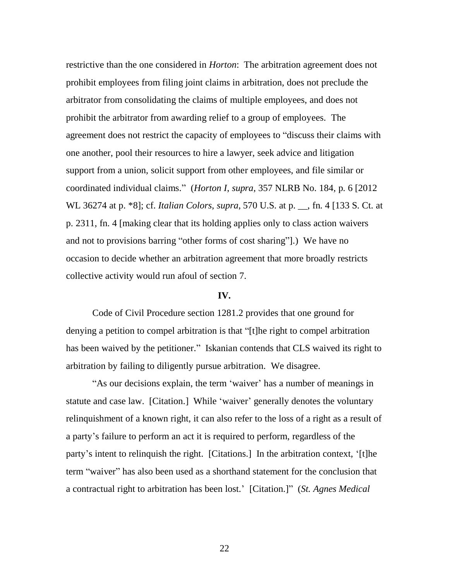restrictive than the one considered in *Horton*: The arbitration agreement does not prohibit employees from filing joint claims in arbitration, does not preclude the arbitrator from consolidating the claims of multiple employees, and does not prohibit the arbitrator from awarding relief to a group of employees. The agreement does not restrict the capacity of employees to "discuss their claims with one another, pool their resources to hire a lawyer, seek advice and litigation support from a union, solicit support from other employees, and file similar or coordinated individual claims.‖ (*Horton I*, *supra*, 357 NLRB No. 184, p. 6 [2012 WL 36274 at p. \*8]; cf. *Italian Colors*, *supra*, 570 U.S. at p. \_\_, fn. 4 [133 S. Ct. at p. 2311, fn. 4 [making clear that its holding applies only to class action waivers and not to provisions barring "other forms of cost sharing".) We have no occasion to decide whether an arbitration agreement that more broadly restricts collective activity would run afoul of section 7.

#### **IV.**

Code of Civil Procedure section 1281.2 provides that one ground for denying a petition to compel arbitration is that "[t]he right to compel arbitration has been waived by the petitioner." Iskanian contends that CLS waived its right to arbitration by failing to diligently pursue arbitration. We disagree.

"As our decisions explain, the term 'waiver' has a number of meanings in statute and case law. [Citation.] While 'waiver' generally denotes the voluntary relinquishment of a known right, it can also refer to the loss of a right as a result of a party's failure to perform an act it is required to perform, regardless of the party's intent to relinquish the right. [Citations.] In the arbitration context, '[t]he term "waiver" has also been used as a shorthand statement for the conclusion that a contractual right to arbitration has been lost.' [Citation.]" (*St. Agnes Medical*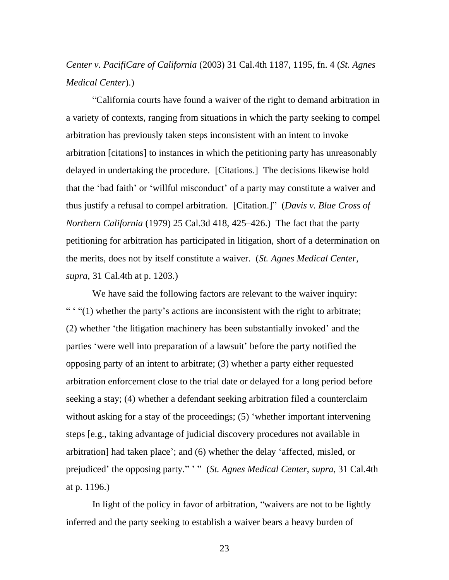## *Center v. PacifiCare of California* (2003) 31 Cal.4th 1187, 1195, fn. 4 (*St. Agnes Medical Center*).)

―California courts have found a waiver of the right to demand arbitration in a variety of contexts, ranging from situations in which the party seeking to compel arbitration has previously taken steps inconsistent with an intent to invoke arbitration [citations] to instances in which the petitioning party has unreasonably delayed in undertaking the procedure. [Citations.] The decisions likewise hold that the 'bad faith' or 'willful misconduct' of a party may constitute a waiver and thus justify a refusal to compel arbitration. [Citation.]" (*Davis v. Blue Cross of Northern California* (1979) 25 Cal.3d 418, 425–426.) The fact that the party petitioning for arbitration has participated in litigation, short of a determination on the merits, does not by itself constitute a waiver. (*St. Agnes Medical Center*, *supra*, 31 Cal.4th at p. 1203.)

We have said the following factors are relevant to the waiver inquiry:  $\cdots$   $\cdots$  (1) whether the party's actions are inconsistent with the right to arbitrate; (2) whether 'the litigation machinery has been substantially invoked' and the parties ‗were well into preparation of a lawsuit' before the party notified the opposing party of an intent to arbitrate; (3) whether a party either requested arbitration enforcement close to the trial date or delayed for a long period before seeking a stay; (4) whether a defendant seeking arbitration filed a counterclaim without asking for a stay of the proceedings; (5) 'whether important intervening steps [e.g., taking advantage of judicial discovery procedures not available in arbitration] had taken place'; and (6) whether the delay ‗affected, misled, or prejudiced' the opposing party." '" (*St. Agnes Medical Center*, *supra*, 31 Cal.4th at p. 1196.)

In light of the policy in favor of arbitration, "waivers are not to be lightly inferred and the party seeking to establish a waiver bears a heavy burden of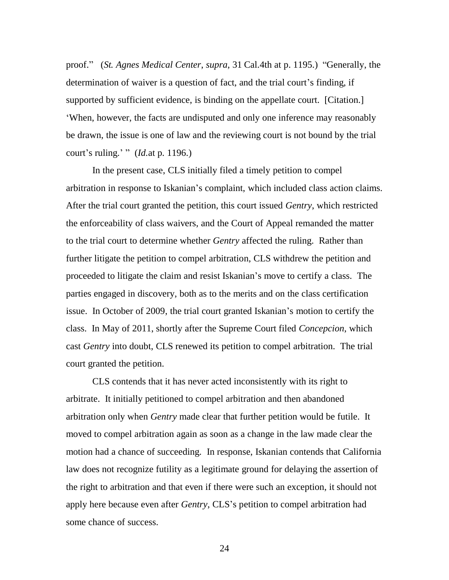proof." (*St. Agnes Medical Center, supra, 31 Cal.4th at p. 1195.)* "Generally, the determination of waiver is a question of fact, and the trial court's finding, if supported by sufficient evidence, is binding on the appellate court. [Citation.] ‗When, however, the facts are undisputed and only one inference may reasonably be drawn, the issue is one of law and the reviewing court is not bound by the trial court's ruling.' " (*Id.*at p. 1196.)

In the present case, CLS initially filed a timely petition to compel arbitration in response to Iskanian's complaint, which included class action claims. After the trial court granted the petition, this court issued *Gentry*, which restricted the enforceability of class waivers, and the Court of Appeal remanded the matter to the trial court to determine whether *Gentry* affected the ruling. Rather than further litigate the petition to compel arbitration, CLS withdrew the petition and proceeded to litigate the claim and resist Iskanian's move to certify a class. The parties engaged in discovery, both as to the merits and on the class certification issue. In October of 2009, the trial court granted Iskanian's motion to certify the class. In May of 2011, shortly after the Supreme Court filed *Concepcion*, which cast *Gentry* into doubt, CLS renewed its petition to compel arbitration. The trial court granted the petition.

CLS contends that it has never acted inconsistently with its right to arbitrate. It initially petitioned to compel arbitration and then abandoned arbitration only when *Gentry* made clear that further petition would be futile. It moved to compel arbitration again as soon as a change in the law made clear the motion had a chance of succeeding. In response, Iskanian contends that California law does not recognize futility as a legitimate ground for delaying the assertion of the right to arbitration and that even if there were such an exception, it should not apply here because even after *Gentry*, CLS's petition to compel arbitration had some chance of success.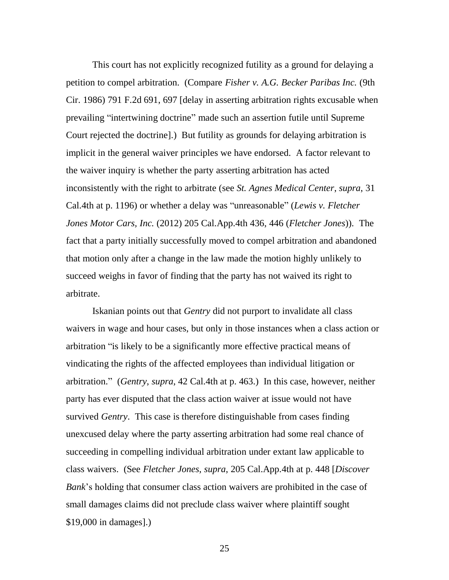This court has not explicitly recognized futility as a ground for delaying a petition to compel arbitration. (Compare *Fisher v. A.G. Becker Paribas Inc.* (9th Cir. 1986) 791 F.2d 691, 697 [delay in asserting arbitration rights excusable when prevailing "intertwining doctrine" made such an assertion futile until Supreme Court rejected the doctrine].) But futility as grounds for delaying arbitration is implicit in the general waiver principles we have endorsed. A factor relevant to the waiver inquiry is whether the party asserting arbitration has acted inconsistently with the right to arbitrate (see *St. Agnes Medical Center*, *supra*, 31 Cal.4th at p. 1196) or whether a delay was "unreasonable" (*Lewis v. Fletcher Jones Motor Cars, Inc.* (2012) 205 Cal.App.4th 436, 446 (*Fletcher Jones*)). The fact that a party initially successfully moved to compel arbitration and abandoned that motion only after a change in the law made the motion highly unlikely to succeed weighs in favor of finding that the party has not waived its right to arbitrate.

Iskanian points out that *Gentry* did not purport to invalidate all class waivers in wage and hour cases, but only in those instances when a class action or arbitration "is likely to be a significantly more effective practical means of vindicating the rights of the affected employees than individual litigation or arbitration.‖ (*Gentry*, *supra*, 42 Cal.4th at p. 463.) In this case, however, neither party has ever disputed that the class action waiver at issue would not have survived *Gentry*. This case is therefore distinguishable from cases finding unexcused delay where the party asserting arbitration had some real chance of succeeding in compelling individual arbitration under extant law applicable to class waivers. (See *Fletcher Jones*, *supra*, 205 Cal.App.4th at p. 448 [*Discover Bank*'s holding that consumer class action waivers are prohibited in the case of small damages claims did not preclude class waiver where plaintiff sought \$19,000 in damages].)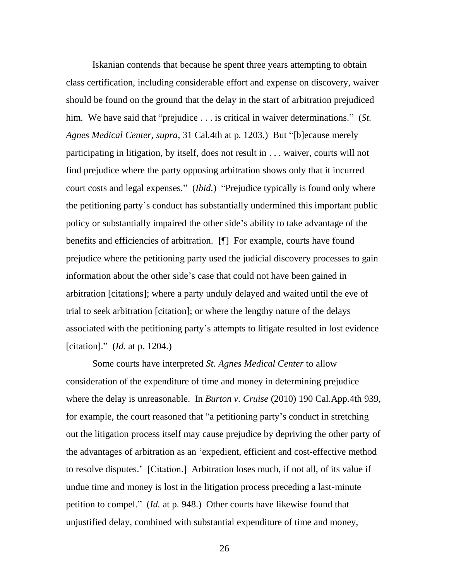Iskanian contends that because he spent three years attempting to obtain class certification, including considerable effort and expense on discovery, waiver should be found on the ground that the delay in the start of arbitration prejudiced him. We have said that "prejudice . . . is critical in waiver determinations." (*St. Agnes Medical Center, supra,* 31 Cal.4th at p. 1203.) But "[b]ecause merely participating in litigation, by itself, does not result in . . . waiver, courts will not find prejudice where the party opposing arbitration shows only that it incurred court costs and legal expenses." *(Ibid.)* "Prejudice typically is found only where the petitioning party's conduct has substantially undermined this important public policy or substantially impaired the other side's ability to take advantage of the benefits and efficiencies of arbitration. [¶] For example, courts have found prejudice where the petitioning party used the judicial discovery processes to gain information about the other side's case that could not have been gained in arbitration [citations]; where a party unduly delayed and waited until the eve of trial to seek arbitration [citation]; or where the lengthy nature of the delays associated with the petitioning party's attempts to litigate resulted in lost evidence [citation].‖ (*Id.* at p. 1204.)

Some courts have interpreted *St. Agnes Medical Center* to allow consideration of the expenditure of time and money in determining prejudice where the delay is unreasonable. In *Burton v. Cruise* (2010) 190 Cal.App.4th 939, for example, the court reasoned that "a petitioning party's conduct in stretching out the litigation process itself may cause prejudice by depriving the other party of the advantages of arbitration as an ‗expedient, efficient and cost-effective method to resolve disputes.' [Citation.] Arbitration loses much, if not all, of its value if undue time and money is lost in the litigation process preceding a last-minute petition to compel." (*Id.* at p. 948.) Other courts have likewise found that unjustified delay, combined with substantial expenditure of time and money,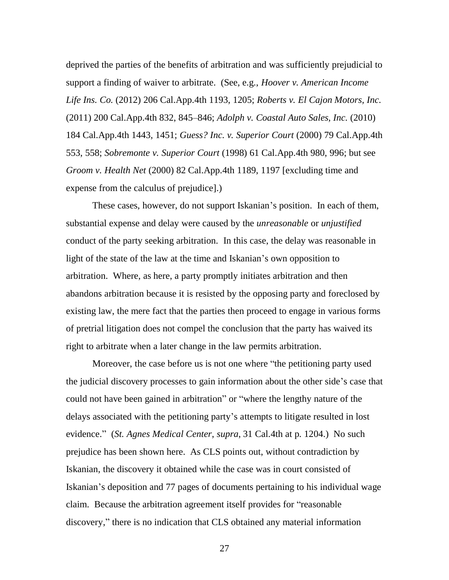deprived the parties of the benefits of arbitration and was sufficiently prejudicial to support a finding of waiver to arbitrate. (See, e.g., *Hoover v. American Income Life Ins. Co.* (2012) 206 Cal.App.4th 1193, 1205; *Roberts v. El Cajon Motors, Inc.* (2011) 200 Cal.App.4th 832, 845–846; *Adolph v. Coastal Auto Sales, Inc.* (2010) 184 Cal.App.4th 1443, 1451; *Guess? Inc. v. Superior Court* (2000) 79 Cal.App.4th 553, 558; *Sobremonte v. Superior Court* (1998) 61 Cal.App.4th 980, 996; but see *Groom v. Health Net* (2000) 82 Cal.App.4th 1189, 1197 [excluding time and expense from the calculus of prejudice].)

These cases, however, do not support Iskanian's position. In each of them, substantial expense and delay were caused by the *unreasonable* or *unjustified* conduct of the party seeking arbitration. In this case, the delay was reasonable in light of the state of the law at the time and Iskanian's own opposition to arbitration. Where, as here, a party promptly initiates arbitration and then abandons arbitration because it is resisted by the opposing party and foreclosed by existing law, the mere fact that the parties then proceed to engage in various forms of pretrial litigation does not compel the conclusion that the party has waived its right to arbitrate when a later change in the law permits arbitration.

Moreover, the case before us is not one where "the petitioning party used the judicial discovery processes to gain information about the other side's case that could not have been gained in arbitration" or "where the lengthy nature of the delays associated with the petitioning party's attempts to litigate resulted in lost evidence.‖ (*St. Agnes Medical Center*, *supra*, 31 Cal.4th at p. 1204.) No such prejudice has been shown here. As CLS points out, without contradiction by Iskanian, the discovery it obtained while the case was in court consisted of Iskanian's deposition and 77 pages of documents pertaining to his individual wage claim. Because the arbitration agreement itself provides for "reasonable" discovery," there is no indication that CLS obtained any material information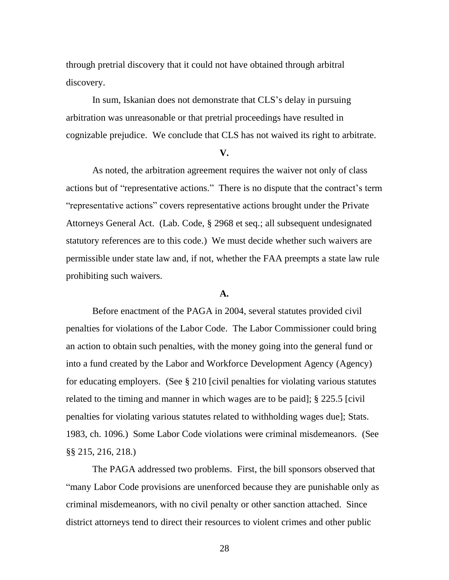through pretrial discovery that it could not have obtained through arbitral discovery.

In sum, Iskanian does not demonstrate that CLS's delay in pursuing arbitration was unreasonable or that pretrial proceedings have resulted in cognizable prejudice. We conclude that CLS has not waived its right to arbitrate.

#### **V.**

As noted, the arbitration agreement requires the waiver not only of class actions but of "representative actions." There is no dispute that the contract's term ―representative actions‖ covers representative actions brought under the Private Attorneys General Act. (Lab. Code, § 2968 et seq.; all subsequent undesignated statutory references are to this code.) We must decide whether such waivers are permissible under state law and, if not, whether the FAA preempts a state law rule prohibiting such waivers.

#### **A.**

Before enactment of the PAGA in 2004, several statutes provided civil penalties for violations of the Labor Code. The Labor Commissioner could bring an action to obtain such penalties, with the money going into the general fund or into a fund created by the Labor and Workforce Development Agency (Agency) for educating employers. (See § 210 [civil penalties for violating various statutes related to the timing and manner in which wages are to be paid]; § 225.5 [civil penalties for violating various statutes related to withholding wages due]; Stats. 1983, ch. 1096.) Some Labor Code violations were criminal misdemeanors. (See §§ 215, 216, 218.)

The PAGA addressed two problems. First, the bill sponsors observed that ―many Labor Code provisions are unenforced because they are punishable only as criminal misdemeanors, with no civil penalty or other sanction attached. Since district attorneys tend to direct their resources to violent crimes and other public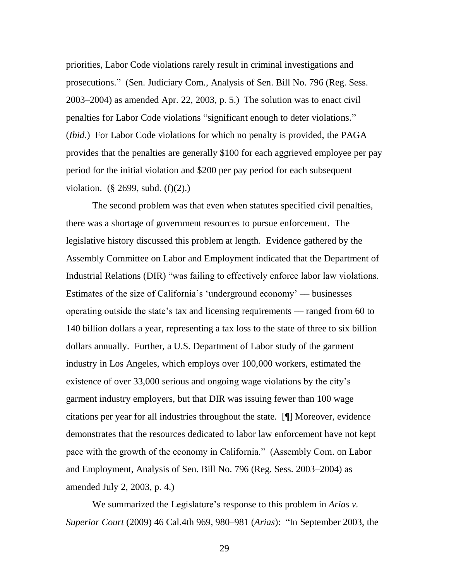priorities, Labor Code violations rarely result in criminal investigations and prosecutions.‖ (Sen. Judiciary Com., Analysis of Sen. Bill No. 796 (Reg. Sess. 2003–2004) as amended Apr. 22, 2003, p. 5.) The solution was to enact civil penalties for Labor Code violations "significant enough to deter violations." (*Ibid.*) For Labor Code violations for which no penalty is provided, the PAGA provides that the penalties are generally \$100 for each aggrieved employee per pay period for the initial violation and \$200 per pay period for each subsequent violation. (§ 2699, subd. (f)(2).)

The second problem was that even when statutes specified civil penalties, there was a shortage of government resources to pursue enforcement. The legislative history discussed this problem at length. Evidence gathered by the Assembly Committee on Labor and Employment indicated that the Department of Industrial Relations (DIR) "was failing to effectively enforce labor law violations. Estimates of the size of California's 'underground economy' — businesses operating outside the state's tax and licensing requirements –– ranged from 60 to 140 billion dollars a year, representing a tax loss to the state of three to six billion dollars annually. Further, a U.S. Department of Labor study of the garment industry in Los Angeles, which employs over 100,000 workers, estimated the existence of over 33,000 serious and ongoing wage violations by the city's garment industry employers, but that DIR was issuing fewer than 100 wage citations per year for all industries throughout the state. [¶] Moreover, evidence demonstrates that the resources dedicated to labor law enforcement have not kept pace with the growth of the economy in California." (Assembly Com. on Labor and Employment, Analysis of Sen. Bill No. 796 (Reg. Sess. 2003–2004) as amended July 2, 2003, p. 4.)

We summarized the Legislature's response to this problem in *Arias v. Superior Court* (2009) 46 Cal.4th 969, 980–981 (*Arias*): "In September 2003, the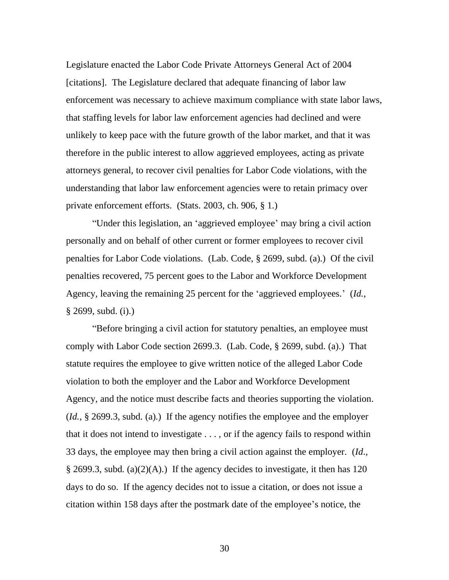Legislature enacted the Labor Code Private Attorneys General Act of 2004 [citations]. The Legislature declared that adequate financing of labor law enforcement was necessary to achieve maximum compliance with state labor laws, that staffing levels for labor law enforcement agencies had declined and were unlikely to keep pace with the future growth of the labor market, and that it was therefore in the public interest to allow aggrieved employees, acting as private attorneys general, to recover civil penalties for Labor Code violations, with the understanding that labor law enforcement agencies were to retain primacy over private enforcement efforts. (Stats. 2003, ch. 906, § 1.)

"Under this legislation, an 'aggrieved employee' may bring a civil action personally and on behalf of other current or former employees to recover civil penalties for Labor Code violations. (Lab. Code, § 2699, subd. (a).) Of the civil penalties recovered, 75 percent goes to the Labor and Workforce Development Agency, leaving the remaining 25 percent for the 'aggrieved employees.' (*Id.*, § 2699, subd. (i).)

―Before bringing a civil action for statutory penalties, an employee must comply with Labor Code section 2699.3. (Lab. Code, § 2699, subd. (a).) That statute requires the employee to give written notice of the alleged Labor Code violation to both the employer and the Labor and Workforce Development Agency, and the notice must describe facts and theories supporting the violation. (*Id.*, § 2699.3, subd. (a).) If the agency notifies the employee and the employer that it does not intend to investigate . . . , or if the agency fails to respond within 33 days, the employee may then bring a civil action against the employer. (*Id*., § 2699.3, subd. (a)(2)(A).) If the agency decides to investigate, it then has 120 days to do so. If the agency decides not to issue a citation, or does not issue a citation within 158 days after the postmark date of the employee's notice, the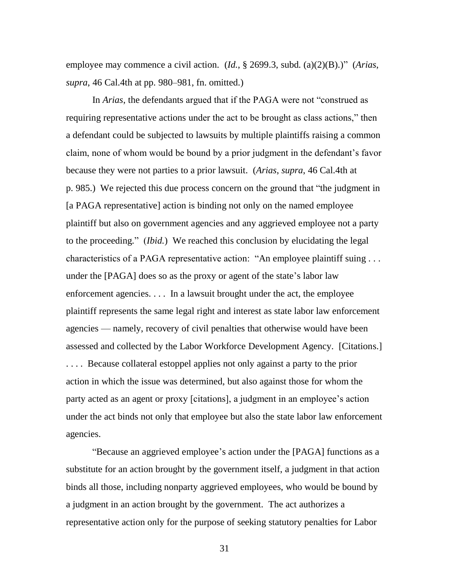employee may commence a civil action.  $(Id, \S 2699.3, subd. (a)(2)(B).)'$  (*Arias*, *supra*, 46 Cal.4th at pp. 980–981, fn. omitted.)

In *Arias*, the defendants argued that if the PAGA were not "construed as requiring representative actions under the act to be brought as class actions," then a defendant could be subjected to lawsuits by multiple plaintiffs raising a common claim, none of whom would be bound by a prior judgment in the defendant's favor because they were not parties to a prior lawsuit. (*Arias*, *supra*, 46 Cal.4th at p. 985.) We rejected this due process concern on the ground that "the judgment in [a PAGA representative] action is binding not only on the named employee plaintiff but also on government agencies and any aggrieved employee not a party to the proceeding.‖ (*Ibid.*) We reached this conclusion by elucidating the legal characteristics of a PAGA representative action: "An employee plaintiff suing . . . under the [PAGA] does so as the proxy or agent of the state's labor law enforcement agencies. . . . In a lawsuit brought under the act, the employee plaintiff represents the same legal right and interest as state labor law enforcement agencies — namely, recovery of civil penalties that otherwise would have been assessed and collected by the Labor Workforce Development Agency. [Citations.] . . . . Because collateral estoppel applies not only against a party to the prior action in which the issue was determined, but also against those for whom the party acted as an agent or proxy [citations], a judgment in an employee's action under the act binds not only that employee but also the state labor law enforcement agencies.

―Because an aggrieved employee's action under the [PAGA] functions as a substitute for an action brought by the government itself, a judgment in that action binds all those, including nonparty aggrieved employees, who would be bound by a judgment in an action brought by the government. The act authorizes a representative action only for the purpose of seeking statutory penalties for Labor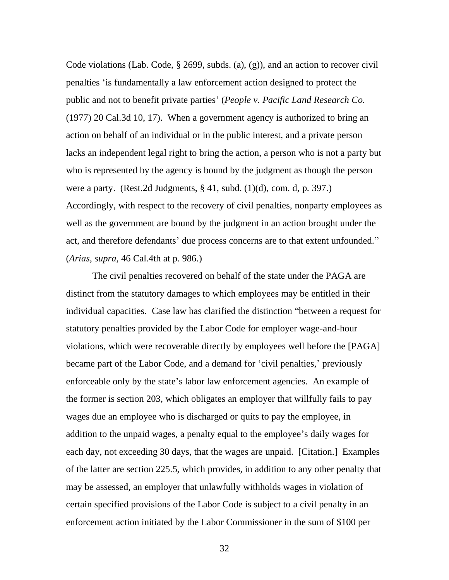Code violations (Lab. Code, § 2699, subds. (a), (g)), and an action to recover civil penalties ‗is fundamentally a law enforcement action designed to protect the public and not to benefit private parties' (*People v. Pacific Land Research Co.* (1977) 20 Cal.3d 10, 17). When a government agency is authorized to bring an action on behalf of an individual or in the public interest, and a private person lacks an independent legal right to bring the action, a person who is not a party but who is represented by the agency is bound by the judgment as though the person were a party. (Rest.2d Judgments,  $\S 41$ , subd. (1)(d), com. d, p. 397.) Accordingly, with respect to the recovery of civil penalties, nonparty employees as well as the government are bound by the judgment in an action brought under the act, and therefore defendants' due process concerns are to that extent unfounded." (*Arias*, *supra*, 46 Cal.4th at p. 986.)

The civil penalties recovered on behalf of the state under the PAGA are distinct from the statutory damages to which employees may be entitled in their individual capacities. Case law has clarified the distinction "between a request for statutory penalties provided by the Labor Code for employer wage-and-hour violations, which were recoverable directly by employees well before the [PAGA] became part of the Labor Code, and a demand for 'civil penalties,' previously enforceable only by the state's labor law enforcement agencies. An example of the former is section 203, which obligates an employer that willfully fails to pay wages due an employee who is discharged or quits to pay the employee, in addition to the unpaid wages, a penalty equal to the employee's daily wages for each day, not exceeding 30 days, that the wages are unpaid. [Citation.] Examples of the latter are section 225.5, which provides, in addition to any other penalty that may be assessed, an employer that unlawfully withholds wages in violation of certain specified provisions of the Labor Code is subject to a civil penalty in an enforcement action initiated by the Labor Commissioner in the sum of \$100 per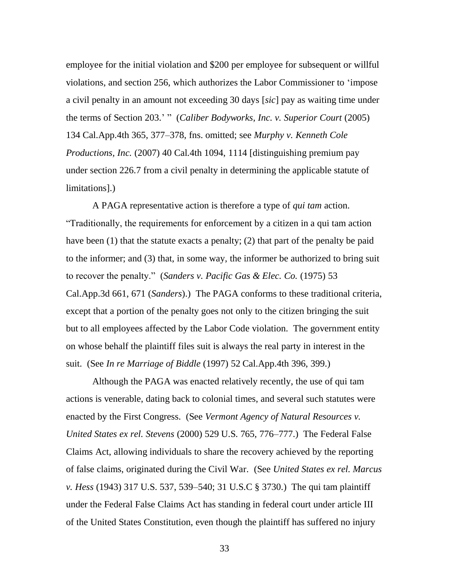employee for the initial violation and \$200 per employee for subsequent or willful violations, and section 256, which authorizes the Labor Commissioner to ‗impose a civil penalty in an amount not exceeding 30 days [*sic*] pay as waiting time under the terms of Section 203.' " (*Caliber Bodyworks, Inc. v. Superior Court* (2005) 134 Cal.App.4th 365, 377–378, fns. omitted; see *Murphy v. Kenneth Cole Productions, Inc.* (2007) 40 Cal.4th 1094, 1114 [distinguishing premium pay under section 226.7 from a civil penalty in determining the applicable statute of limitations].)

A PAGA representative action is therefore a type of *qui tam* action. ―Traditionally, the requirements for enforcement by a citizen in a qui tam action have been (1) that the statute exacts a penalty; (2) that part of the penalty be paid to the informer; and (3) that, in some way, the informer be authorized to bring suit to recover the penalty.‖ (*Sanders v. Pacific Gas & Elec. Co.* (1975) 53 Cal.App.3d 661, 671 (*Sanders*).) The PAGA conforms to these traditional criteria, except that a portion of the penalty goes not only to the citizen bringing the suit but to all employees affected by the Labor Code violation. The government entity on whose behalf the plaintiff files suit is always the real party in interest in the suit. (See *In re Marriage of Biddle* (1997) 52 Cal.App.4th 396, 399.)

Although the PAGA was enacted relatively recently, the use of qui tam actions is venerable, dating back to colonial times, and several such statutes were enacted by the First Congress. (See *Vermont Agency of Natural Resources v. United States ex rel. Stevens* (2000) 529 U.S. 765, 776–777.) The Federal False Claims Act, allowing individuals to share the recovery achieved by the reporting of false claims, originated during the Civil War. (See *United States ex rel. Marcus v. Hess* (1943) 317 U.S. 537, 539–540; 31 U.S.C § 3730.) The qui tam plaintiff under the Federal False Claims Act has standing in federal court under article III of the United States Constitution, even though the plaintiff has suffered no injury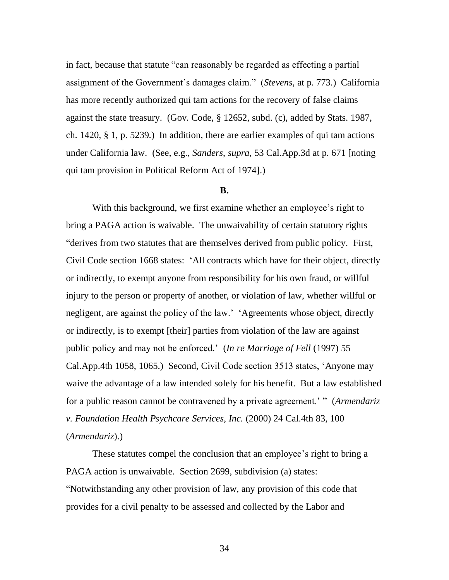in fact, because that statute "can reasonably be regarded as effecting a partial assignment of the Government's damages claim.‖ (*Stevens*, at p. 773.) California has more recently authorized qui tam actions for the recovery of false claims against the state treasury. (Gov. Code, § 12652, subd. (c), added by Stats. 1987, ch. 1420, § 1, p. 5239.) In addition, there are earlier examples of qui tam actions under California law. (See, e.g., *Sanders*, *supra*, 53 Cal.App.3d at p. 671 [noting qui tam provision in Political Reform Act of 1974].)

### **B.**

With this background, we first examine whether an employee's right to bring a PAGA action is waivable. The unwaivability of certain statutory rights ―derives from two statutes that are themselves derived from public policy. First, Civil Code section 1668 states: ‗All contracts which have for their object, directly or indirectly, to exempt anyone from responsibility for his own fraud, or willful injury to the person or property of another, or violation of law, whether willful or negligent, are against the policy of the law.' 'Agreements whose object, directly or indirectly, is to exempt [their] parties from violation of the law are against public policy and may not be enforced.' (*In re Marriage of Fell* (1997) 55 Cal.App.4th 1058, 1065.) Second, Civil Code section 3513 states, ‗Anyone may waive the advantage of a law intended solely for his benefit. But a law established for a public reason cannot be contravened by a private agreement.' " (*Armendariz v. Foundation Health Psychcare Services, Inc.* (2000) 24 Cal.4th 83, 100 (*Armendariz*).)

These statutes compel the conclusion that an employee's right to bring a PAGA action is unwaivable. Section 2699, subdivision (a) states: ―Notwithstanding any other provision of law, any provision of this code that provides for a civil penalty to be assessed and collected by the Labor and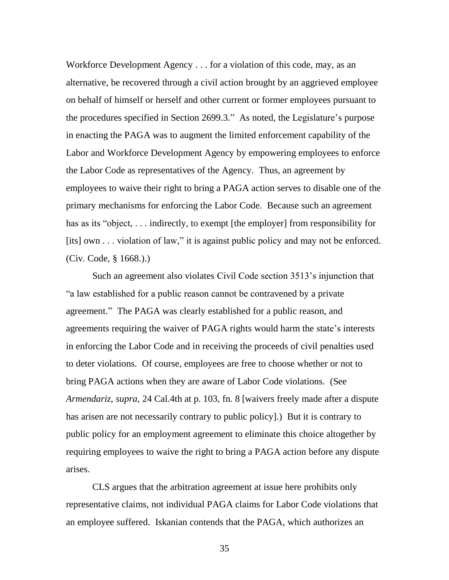Workforce Development Agency . . . for a violation of this code, may, as an alternative, be recovered through a civil action brought by an aggrieved employee on behalf of himself or herself and other current or former employees pursuant to the procedures specified in Section 2699.3." As noted, the Legislature's purpose in enacting the PAGA was to augment the limited enforcement capability of the Labor and Workforce Development Agency by empowering employees to enforce the Labor Code as representatives of the Agency. Thus, an agreement by employees to waive their right to bring a PAGA action serves to disable one of the primary mechanisms for enforcing the Labor Code. Because such an agreement has as its "object,  $\ldots$  indirectly, to exempt [the employer] from responsibility for [its] own  $\dots$  violation of law," it is against public policy and may not be enforced. (Civ. Code, § 1668.).)

Such an agreement also violates Civil Code section 3513's injunction that ―a law established for a public reason cannot be contravened by a private agreement." The PAGA was clearly established for a public reason, and agreements requiring the waiver of PAGA rights would harm the state's interests in enforcing the Labor Code and in receiving the proceeds of civil penalties used to deter violations. Of course, employees are free to choose whether or not to bring PAGA actions when they are aware of Labor Code violations. (See *Armendariz*, *supra*, 24 Cal.4th at p. 103, fn. 8 [waivers freely made after a dispute has arisen are not necessarily contrary to public policy].) But it is contrary to public policy for an employment agreement to eliminate this choice altogether by requiring employees to waive the right to bring a PAGA action before any dispute arises.

CLS argues that the arbitration agreement at issue here prohibits only representative claims, not individual PAGA claims for Labor Code violations that an employee suffered. Iskanian contends that the PAGA, which authorizes an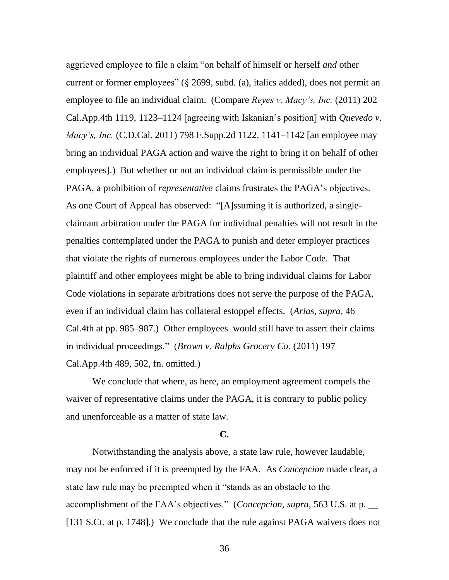aggrieved employee to file a claim "on behalf of himself or herself *and* other current or former employees" ( $\S$  2699, subd. (a), italics added), does not permit an employee to file an individual claim. (Compare *Reyes v. Macy's, Inc.* (2011) 202 Cal.App.4th 1119, 1123–1124 [agreeing with Iskanian's position] with *Quevedo v. Macy's, Inc.* (C.D.Cal. 2011) 798 F.Supp.2d 1122, 1141–1142 [an employee may bring an individual PAGA action and waive the right to bring it on behalf of other employees].) But whether or not an individual claim is permissible under the PAGA, a prohibition of *representative* claims frustrates the PAGA's objectives. As one Court of Appeal has observed: "[A]ssuming it is authorized, a singleclaimant arbitration under the PAGA for individual penalties will not result in the penalties contemplated under the PAGA to punish and deter employer practices that violate the rights of numerous employees under the Labor Code. That plaintiff and other employees might be able to bring individual claims for Labor Code violations in separate arbitrations does not serve the purpose of the PAGA, even if an individual claim has collateral estoppel effects. (*Arias*, *supra*, 46 Cal.4th at pp. 985–987.) Other employees would still have to assert their claims in individual proceedings.‖ (*Brown v. Ralphs Grocery Co.* (2011) 197 Cal.App.4th 489, 502, fn. omitted.)

We conclude that where, as here, an employment agreement compels the waiver of representative claims under the PAGA, it is contrary to public policy and unenforceable as a matter of state law.

### **C.**

Notwithstanding the analysis above, a state law rule, however laudable, may not be enforced if it is preempted by the FAA. As *Concepcion* made clear, a state law rule may be preempted when it "stands as an obstacle to the accomplishment of the FAA's objectives.‖ (*Concepcion*, *supra*, 563 U.S. at p. \_\_ [131 S.Ct. at p. 1748].) We conclude that the rule against PAGA waivers does not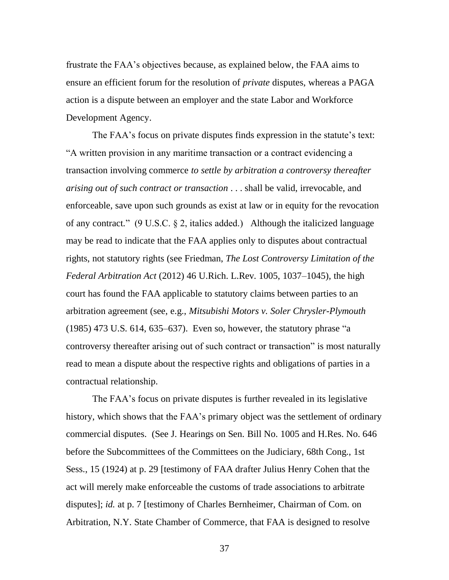frustrate the FAA's objectives because, as explained below, the FAA aims to ensure an efficient forum for the resolution of *private* disputes, whereas a PAGA action is a dispute between an employer and the state Labor and Workforce Development Agency.

The FAA's focus on private disputes finds expression in the statute's text: ―A written provision in any maritime transaction or a contract evidencing a transaction involving commerce *to settle by arbitration a controversy thereafter arising out of such contract or transaction* . . . shall be valid, irrevocable, and enforceable, save upon such grounds as exist at law or in equity for the revocation of any contract*.*‖ (9 U.S.C. § 2, italics added.) Although the italicized language may be read to indicate that the FAA applies only to disputes about contractual rights, not statutory rights (see Friedman, *The Lost Controversy Limitation of the Federal Arbitration Act* (2012) 46 U.Rich. L.Rev. 1005, 1037–1045), the high court has found the FAA applicable to statutory claims between parties to an arbitration agreement (see, e.g., *Mitsubishi Motors v. Soler Chrysler-Plymouth*   $(1985)$  473 U.S. 614, 635–637). Even so, however, the statutory phrase "a controversy thereafter arising out of such contract or transaction" is most naturally read to mean a dispute about the respective rights and obligations of parties in a contractual relationship.

The FAA's focus on private disputes is further revealed in its legislative history, which shows that the FAA's primary object was the settlement of ordinary commercial disputes. (See J. Hearings on Sen. Bill No. 1005 and H.Res. No. 646 before the Subcommittees of the Committees on the Judiciary, 68th Cong., 1st Sess., 15 (1924) at p. 29 [testimony of FAA drafter Julius Henry Cohen that the act will merely make enforceable the customs of trade associations to arbitrate disputes]; *id.* at p. 7 [testimony of Charles Bernheimer, Chairman of Com. on Arbitration, N.Y. State Chamber of Commerce, that FAA is designed to resolve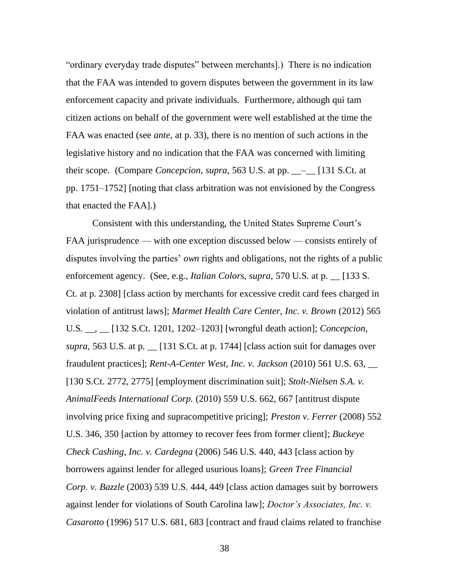"ordinary everyday trade disputes" between merchants." There is no indication that the FAA was intended to govern disputes between the government in its law enforcement capacity and private individuals. Furthermore, although qui tam citizen actions on behalf of the government were well established at the time the FAA was enacted (see *ante*, at p. 33), there is no mention of such actions in the legislative history and no indication that the FAA was concerned with limiting their scope. (Compare *Concepcion*, *supra*, 563 U.S. at pp. \_\_–\_\_ [131 S.Ct. at pp. 1751–1752] [noting that class arbitration was not envisioned by the Congress that enacted the FAA].)

Consistent with this understanding, the United States Supreme Court's FAA jurisprudence — with one exception discussed below — consists entirely of disputes involving the parties' *own* rights and obligations, not the rights of a public enforcement agency. (See, e.g., *Italian Colors*, *supra*, 570 U.S. at p. \_\_ [133 S. Ct. at p. 2308] [class action by merchants for excessive credit card fees charged in violation of antitrust laws]; *Marmet Health Care Center, Inc. v. Brown* (2012) 565 U.S. \_\_, \_\_ [132 S.Ct. 1201, 1202–1203] [wrongful death action]; *Concepcion*, *supra*, 563 U.S. at p. \_\_ [131 S.Ct. at p. 1744] [class action suit for damages over fraudulent practices]; *Rent-A-Center West, Inc. v. Jackson* (2010) 561 U.S. 63, \_\_ [130 S.Ct. 2772, 2775] [employment discrimination suit]; *Stolt-Nielsen S.A. v. AnimalFeeds International Corp.* (2010) 559 U.S. 662, 667 [antitrust dispute involving price fixing and supracompetitive pricing]; *Preston v. Ferrer* (2008) 552 U.S. 346, 350 [action by attorney to recover fees from former client]; *Buckeye Check Cashing, Inc. v. Cardegna* (2006) 546 U.S. 440, 443 [class action by borrowers against lender for alleged usurious loans]; *Green Tree Financial Corp. v. Bazzle* (2003) 539 U.S. 444, 449 [class action damages suit by borrowers against lender for violations of South Carolina law]; *Doctor's Associates, Inc. v. Casarotto* (1996) 517 U.S. 681, 683 [contract and fraud claims related to franchise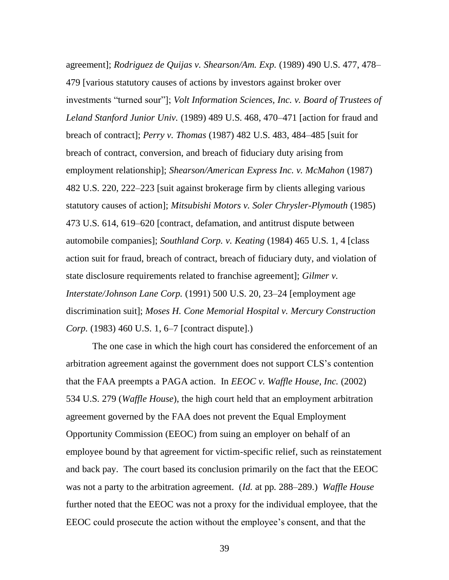agreement]; *Rodriguez de Quijas v. Shearson/Am. Exp.* (1989) 490 U.S. 477, 478– 479 [various statutory causes of actions by investors against broker over investments "turned sour"]; *Volt Information Sciences, Inc. v. Board of Trustees of Leland Stanford Junior Univ.* (1989) 489 U.S. 468, 470–471 [action for fraud and breach of contract]; *Perry v. Thomas* (1987) 482 U.S. 483, 484–485 [suit for breach of contract, conversion, and breach of fiduciary duty arising from employment relationship]; *Shearson/American Express Inc. v. McMahon* (1987) 482 U.S. 220, 222–223 [suit against brokerage firm by clients alleging various statutory causes of action]; *Mitsubishi Motors v. Soler Chrysler-Plymouth* (1985) 473 U.S. 614, 619–620 [contract, defamation, and antitrust dispute between automobile companies]; *Southland Corp. v. Keating* (1984) 465 U.S. 1, 4 [class action suit for fraud, breach of contract, breach of fiduciary duty, and violation of state disclosure requirements related to franchise agreement]; *Gilmer v. Interstate/Johnson Lane Corp.* (1991) 500 U.S. 20, 23–24 [employment age discrimination suit]; *Moses H. Cone Memorial Hospital v. Mercury Construction Corp.* (1983) 460 U.S. 1, 6–7 [contract dispute].)

The one case in which the high court has considered the enforcement of an arbitration agreement against the government does not support CLS's contention that the FAA preempts a PAGA action. In *EEOC v. Waffle House, Inc.* (2002) 534 U.S. 279 (*Waffle House*), the high court held that an employment arbitration agreement governed by the FAA does not prevent the Equal Employment Opportunity Commission (EEOC) from suing an employer on behalf of an employee bound by that agreement for victim-specific relief, such as reinstatement and back pay. The court based its conclusion primarily on the fact that the EEOC was not a party to the arbitration agreement. (*Id.* at pp. 288–289.) *Waffle House* further noted that the EEOC was not a proxy for the individual employee, that the EEOC could prosecute the action without the employee's consent, and that the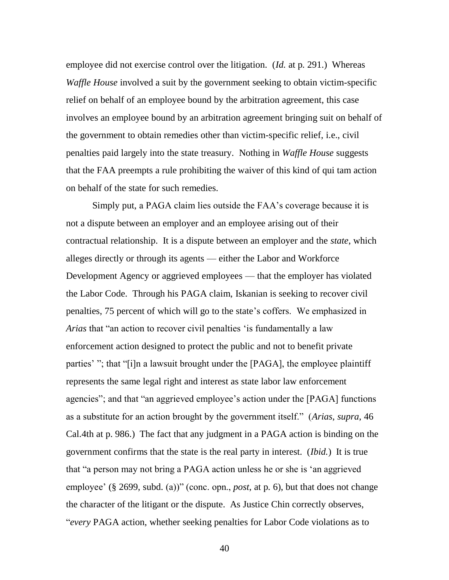employee did not exercise control over the litigation. (*Id.* at p. 291.) Whereas *Waffle House* involved a suit by the government seeking to obtain victim-specific relief on behalf of an employee bound by the arbitration agreement, this case involves an employee bound by an arbitration agreement bringing suit on behalf of the government to obtain remedies other than victim-specific relief, i.e., civil penalties paid largely into the state treasury. Nothing in *Waffle House* suggests that the FAA preempts a rule prohibiting the waiver of this kind of qui tam action on behalf of the state for such remedies.

Simply put, a PAGA claim lies outside the FAA's coverage because it is not a dispute between an employer and an employee arising out of their contractual relationship. It is a dispute between an employer and the *state*, which alleges directly or through its agents — either the Labor and Workforce Development Agency or aggrieved employees — that the employer has violated the Labor Code. Through his PAGA claim, Iskanian is seeking to recover civil penalties, 75 percent of which will go to the state's coffers. We emphasized in *Arias* that "an action to recover civil penalties 'is fundamentally a law enforcement action designed to protect the public and not to benefit private parties' "; that "[i]n a lawsuit brought under the [PAGA], the employee plaintiff represents the same legal right and interest as state labor law enforcement agencies"; and that "an aggrieved employee's action under the [PAGA] functions as a substitute for an action brought by the government itself.‖ (*Arias*, *supra*, 46 Cal.4th at p. 986.) The fact that any judgment in a PAGA action is binding on the government confirms that the state is the real party in interest. (*Ibid.*) It is true that "a person may not bring a PAGA action unless he or she is 'an aggrieved employee'  $(\S 2699, \text{subd. (a)})'$  (conc. opn., *post*, at p. 6), but that does not change the character of the litigant or the dispute. As Justice Chin correctly observes, ―*every* PAGA action, whether seeking penalties for Labor Code violations as to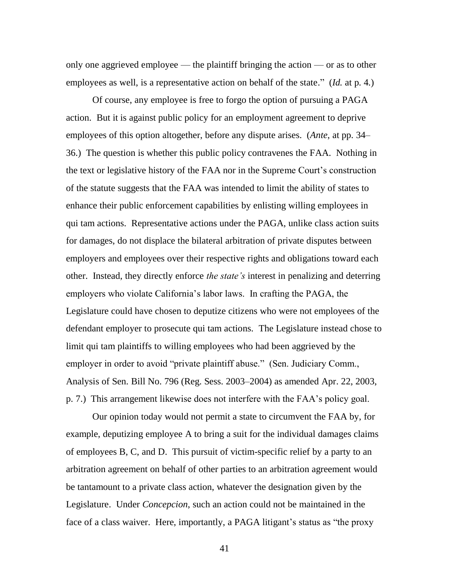only one aggrieved employee — the plaintiff bringing the action — or as to other employees as well, is a representative action on behalf of the state." (*Id.* at p. 4.)

Of course, any employee is free to forgo the option of pursuing a PAGA action. But it is against public policy for an employment agreement to deprive employees of this option altogether, before any dispute arises. (*Ante*, at pp. 34– 36.) The question is whether this public policy contravenes the FAA. Nothing in the text or legislative history of the FAA nor in the Supreme Court's construction of the statute suggests that the FAA was intended to limit the ability of states to enhance their public enforcement capabilities by enlisting willing employees in qui tam actions. Representative actions under the PAGA, unlike class action suits for damages, do not displace the bilateral arbitration of private disputes between employers and employees over their respective rights and obligations toward each other. Instead, they directly enforce *the state's* interest in penalizing and deterring employers who violate California's labor laws. In crafting the PAGA, the Legislature could have chosen to deputize citizens who were not employees of the defendant employer to prosecute qui tam actions. The Legislature instead chose to limit qui tam plaintiffs to willing employees who had been aggrieved by the employer in order to avoid "private plaintiff abuse." (Sen. Judiciary Comm., Analysis of Sen. Bill No. 796 (Reg. Sess. 2003–2004) as amended Apr. 22, 2003, p. 7.) This arrangement likewise does not interfere with the FAA's policy goal.

Our opinion today would not permit a state to circumvent the FAA by, for example, deputizing employee A to bring a suit for the individual damages claims of employees B, C, and D. This pursuit of victim-specific relief by a party to an arbitration agreement on behalf of other parties to an arbitration agreement would be tantamount to a private class action, whatever the designation given by the Legislature. Under *Concepcion*, such an action could not be maintained in the face of a class waiver. Here, importantly, a PAGA litigant's status as "the proxy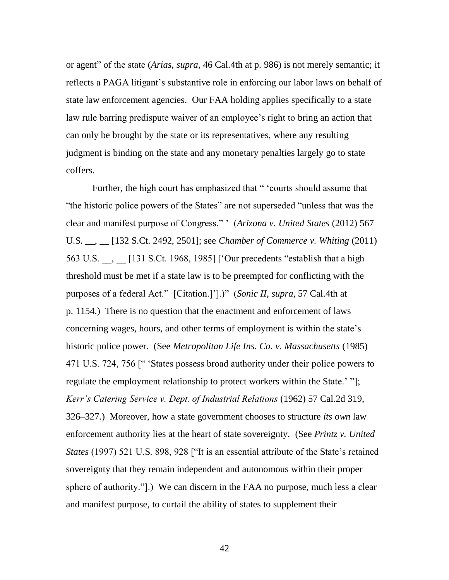or agent" of the state (*Arias*, *supra*, 46 Cal.4th at p. 986) is not merely semantic; it reflects a PAGA litigant's substantive role in enforcing our labor laws on behalf of state law enforcement agencies. Our FAA holding applies specifically to a state law rule barring predispute waiver of an employee's right to bring an action that can only be brought by the state or its representatives, where any resulting judgment is binding on the state and any monetary penalties largely go to state coffers.

Further, the high court has emphasized that " 'courts should assume that "the historic police powers of the States" are not superseded "unless that was the clear and manifest purpose of Congress.‖ ' (*Arizona v. United States* (2012) 567 U.S. \_\_, \_\_ [132 S.Ct. 2492, 2501]; see *Chamber of Commerce v. Whiting* (2011) 563 U.S. \_\_, \_\_ [131 S.Ct. 1968, 1985] ['Our precedents "establish that a high threshold must be met if a state law is to be preempted for conflicting with the purposes of a federal Act." [Citation.]'].)" (*Sonic II*, *supra*, 57 Cal.4th at p. 1154.) There is no question that the enactment and enforcement of laws concerning wages, hours, and other terms of employment is within the state's historic police power. (See *Metropolitan Life Ins. Co. v. Massachusetts* (1985) 471 U.S. 724, 756 [" 'States possess broad authority under their police powers to regulate the employment relationship to protect workers within the State.' "]; *Kerr's Catering Service v. Dept. of Industrial Relations* (1962) 57 Cal.2d 319, 326–327.) Moreover, how a state government chooses to structure *its own* law enforcement authority lies at the heart of state sovereignty. (See *Printz v. United States* (1997) 521 U.S. 898, 928 ["It is an essential attribute of the State's retained sovereignty that they remain independent and autonomous within their proper sphere of authority.".) We can discern in the FAA no purpose, much less a clear and manifest purpose, to curtail the ability of states to supplement their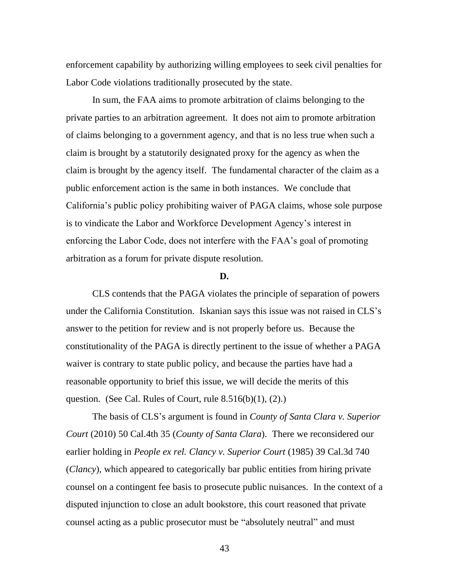enforcement capability by authorizing willing employees to seek civil penalties for Labor Code violations traditionally prosecuted by the state.

In sum, the FAA aims to promote arbitration of claims belonging to the private parties to an arbitration agreement. It does not aim to promote arbitration of claims belonging to a government agency, and that is no less true when such a claim is brought by a statutorily designated proxy for the agency as when the claim is brought by the agency itself. The fundamental character of the claim as a public enforcement action is the same in both instances. We conclude that California's public policy prohibiting waiver of PAGA claims, whose sole purpose is to vindicate the Labor and Workforce Development Agency's interest in enforcing the Labor Code, does not interfere with the FAA's goal of promoting arbitration as a forum for private dispute resolution.

#### **D.**

CLS contends that the PAGA violates the principle of separation of powers under the California Constitution. Iskanian says this issue was not raised in CLS's answer to the petition for review and is not properly before us. Because the constitutionality of the PAGA is directly pertinent to the issue of whether a PAGA waiver is contrary to state public policy, and because the parties have had a reasonable opportunity to brief this issue, we will decide the merits of this question. (See Cal. Rules of Court, rule  $8.516(b)(1)$ ,  $(2)$ .)

The basis of CLS's argument is found in *County of Santa Clara v. Superior Court* (2010) 50 Cal.4th 35 (*County of Santa Clara*). There we reconsidered our earlier holding in *People ex rel. Clancy v. Superior Court* (1985) 39 Cal.3d 740 (*Clancy*), which appeared to categorically bar public entities from hiring private counsel on a contingent fee basis to prosecute public nuisances. In the context of a disputed injunction to close an adult bookstore, this court reasoned that private counsel acting as a public prosecutor must be "absolutely neutral" and must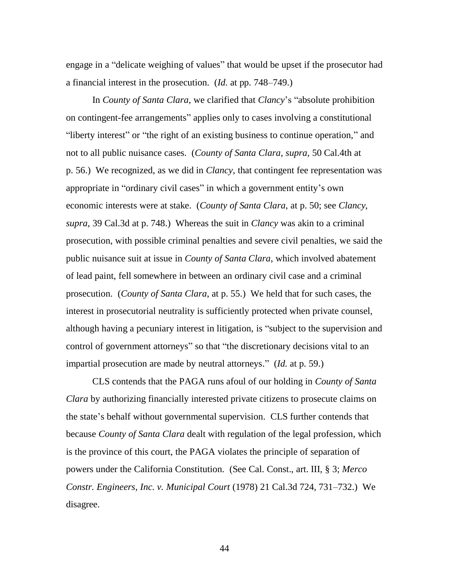engage in a "delicate weighing of values" that would be upset if the prosecutor had a financial interest in the prosecution. (*Id.* at pp. 748–749.)

In *County of Santa Clara*, we clarified that *Clancy*'s "absolute prohibition on contingent-fee arrangements" applies only to cases involving a constitutional "liberty interest" or "the right of an existing business to continue operation," and not to all public nuisance cases. (*County of Santa Clara*, *supra*, 50 Cal.4th at p. 56.) We recognized, as we did in *Clancy*, that contingent fee representation was appropriate in "ordinary civil cases" in which a government entity's own economic interests were at stake. (*County of Santa Clara*, at p. 50; see *Clancy*, *supra*, 39 Cal.3d at p. 748.) Whereas the suit in *Clancy* was akin to a criminal prosecution, with possible criminal penalties and severe civil penalties, we said the public nuisance suit at issue in *County of Santa Clara*, which involved abatement of lead paint, fell somewhere in between an ordinary civil case and a criminal prosecution. (*County of Santa Clara*, at p. 55.) We held that for such cases, the interest in prosecutorial neutrality is sufficiently protected when private counsel, although having a pecuniary interest in litigation, is "subject to the supervision and control of government attorneys" so that "the discretionary decisions vital to an impartial prosecution are made by neutral attorneys." (*Id.* at p. 59.)

CLS contends that the PAGA runs afoul of our holding in *County of Santa Clara* by authorizing financially interested private citizens to prosecute claims on the state's behalf without governmental supervision. CLS further contends that because *County of Santa Clara* dealt with regulation of the legal profession, which is the province of this court, the PAGA violates the principle of separation of powers under the California Constitution. (See Cal. Const., art. III, § 3; *Merco Constr. Engineers, Inc. v. Municipal Court* (1978) 21 Cal.3d 724, 731–732.) We disagree.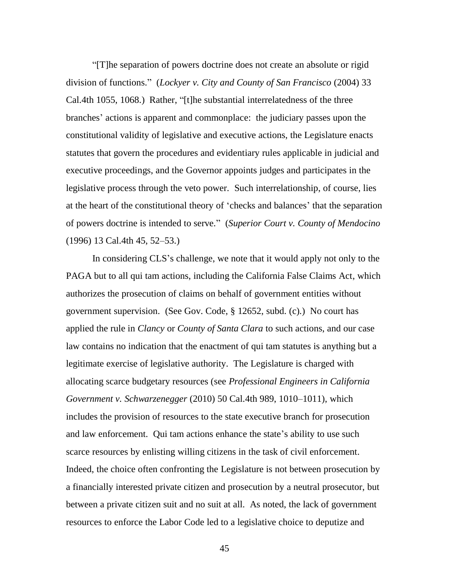―[T]he separation of powers doctrine does not create an absolute or rigid division of functions.‖ (*Lockyer v. City and County of San Francisco* (2004) 33 Cal.4th 1055, 1068.) Rather, "[t]he substantial interrelatedness of the three branches' actions is apparent and commonplace: the judiciary passes upon the constitutional validity of legislative and executive actions, the Legislature enacts statutes that govern the procedures and evidentiary rules applicable in judicial and executive proceedings, and the Governor appoints judges and participates in the legislative process through the veto power. Such interrelationship, of course, lies at the heart of the constitutional theory of ‗checks and balances' that the separation of powers doctrine is intended to serve.‖ (*Superior Court v. County of Mendocino* (1996) 13 Cal.4th 45, 52–53.)

In considering CLS's challenge, we note that it would apply not only to the PAGA but to all qui tam actions, including the California False Claims Act, which authorizes the prosecution of claims on behalf of government entities without government supervision. (See Gov. Code, § 12652, subd. (c).) No court has applied the rule in *Clancy* or *County of Santa Clara* to such actions, and our case law contains no indication that the enactment of qui tam statutes is anything but a legitimate exercise of legislative authority. The Legislature is charged with allocating scarce budgetary resources (see *Professional Engineers in California Government v. Schwarzenegger* (2010) 50 Cal.4th 989, 1010–1011), which includes the provision of resources to the state executive branch for prosecution and law enforcement. Qui tam actions enhance the state's ability to use such scarce resources by enlisting willing citizens in the task of civil enforcement. Indeed, the choice often confronting the Legislature is not between prosecution by a financially interested private citizen and prosecution by a neutral prosecutor, but between a private citizen suit and no suit at all. As noted, the lack of government resources to enforce the Labor Code led to a legislative choice to deputize and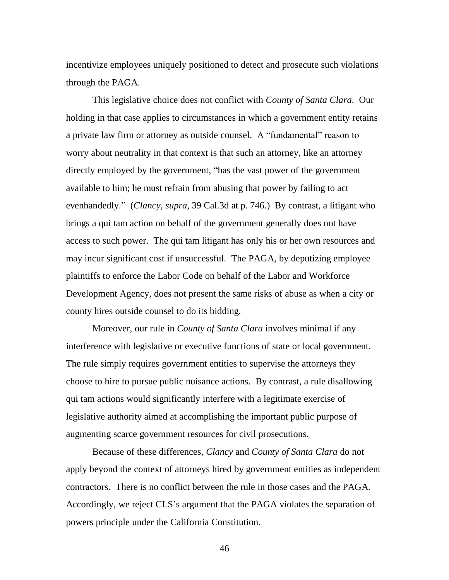incentivize employees uniquely positioned to detect and prosecute such violations through the PAGA.

This legislative choice does not conflict with *County of Santa Clara*. Our holding in that case applies to circumstances in which a government entity retains a private law firm or attorney as outside counsel. A "fundamental" reason to worry about neutrality in that context is that such an attorney, like an attorney directly employed by the government, "has the vast power of the government available to him; he must refrain from abusing that power by failing to act evenhandedly." (*Clancy*, *supra*, 39 Cal.3d at p. 746.) By contrast, a litigant who brings a qui tam action on behalf of the government generally does not have access to such power. The qui tam litigant has only his or her own resources and may incur significant cost if unsuccessful. The PAGA, by deputizing employee plaintiffs to enforce the Labor Code on behalf of the Labor and Workforce Development Agency, does not present the same risks of abuse as when a city or county hires outside counsel to do its bidding.

Moreover, our rule in *County of Santa Clara* involves minimal if any interference with legislative or executive functions of state or local government. The rule simply requires government entities to supervise the attorneys they choose to hire to pursue public nuisance actions. By contrast, a rule disallowing qui tam actions would significantly interfere with a legitimate exercise of legislative authority aimed at accomplishing the important public purpose of augmenting scarce government resources for civil prosecutions.

Because of these differences, *Clancy* and *County of Santa Clara* do not apply beyond the context of attorneys hired by government entities as independent contractors. There is no conflict between the rule in those cases and the PAGA. Accordingly, we reject CLS's argument that the PAGA violates the separation of powers principle under the California Constitution.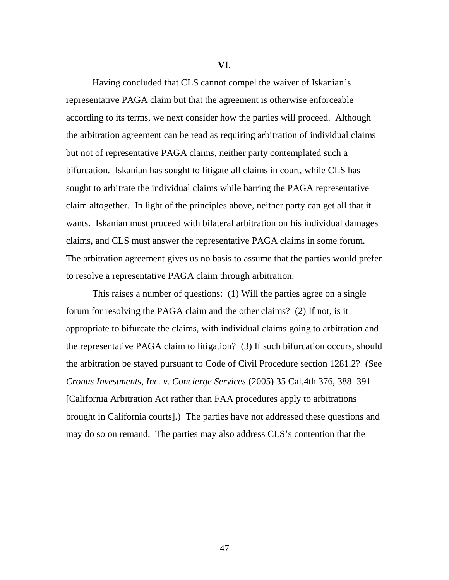**VI.**

Having concluded that CLS cannot compel the waiver of Iskanian's representative PAGA claim but that the agreement is otherwise enforceable according to its terms, we next consider how the parties will proceed. Although the arbitration agreement can be read as requiring arbitration of individual claims but not of representative PAGA claims, neither party contemplated such a bifurcation. Iskanian has sought to litigate all claims in court, while CLS has sought to arbitrate the individual claims while barring the PAGA representative claim altogether. In light of the principles above, neither party can get all that it wants. Iskanian must proceed with bilateral arbitration on his individual damages claims, and CLS must answer the representative PAGA claims in some forum. The arbitration agreement gives us no basis to assume that the parties would prefer to resolve a representative PAGA claim through arbitration.

This raises a number of questions: (1) Will the parties agree on a single forum for resolving the PAGA claim and the other claims? (2) If not, is it appropriate to bifurcate the claims, with individual claims going to arbitration and the representative PAGA claim to litigation? (3) If such bifurcation occurs, should the arbitration be stayed pursuant to Code of Civil Procedure section 1281.2? (See *Cronus Investments, Inc. v. Concierge Services* (2005) 35 Cal.4th 376, 388–391 [California Arbitration Act rather than FAA procedures apply to arbitrations brought in California courts].) The parties have not addressed these questions and may do so on remand. The parties may also address CLS's contention that the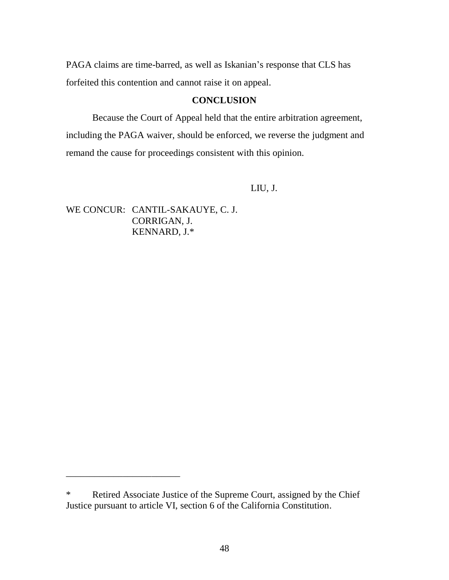PAGA claims are time-barred, as well as Iskanian's response that CLS has forfeited this contention and cannot raise it on appeal.

## **CONCLUSION**

Because the Court of Appeal held that the entire arbitration agreement, including the PAGA waiver, should be enforced, we reverse the judgment and remand the cause for proceedings consistent with this opinion.

## LIU, J.

WE CONCUR: CANTIL-SAKAUYE, C. J. CORRIGAN, J. KENNARD, J.\*

\_\_\_\_\_\_\_\_\_\_\_\_\_\_\_\_\_\_\_\_\_\_\_\_

<sup>\*</sup> Retired Associate Justice of the Supreme Court, assigned by the Chief Justice pursuant to article VI, section 6 of the California Constitution.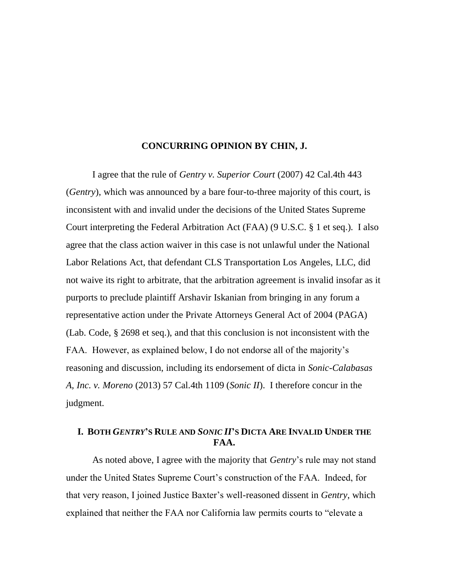### **CONCURRING OPINION BY CHIN, J.**

I agree that the rule of *Gentry v. Superior Court* (2007) 42 Cal.4th 443 (*Gentry*), which was announced by a bare four-to-three majority of this court, is inconsistent with and invalid under the decisions of the United States Supreme Court interpreting the Federal Arbitration Act (FAA) (9 U.S.C. § 1 et seq.). I also agree that the class action waiver in this case is not unlawful under the National Labor Relations Act, that defendant CLS Transportation Los Angeles, LLC, did not waive its right to arbitrate, that the arbitration agreement is invalid insofar as it purports to preclude plaintiff Arshavir Iskanian from bringing in any forum a representative action under the Private Attorneys General Act of 2004 (PAGA) (Lab. Code, § 2698 et seq.), and that this conclusion is not inconsistent with the FAA. However, as explained below, I do not endorse all of the majority's reasoning and discussion, including its endorsement of dicta in *Sonic-Calabasas A, Inc. v. Moreno* (2013) 57 Cal.4th 1109 (*Sonic II*). I therefore concur in the judgment.

## I. BOTH GENTRY'S RULE AND SONIC II'S DICTA ARE INVALID UNDER THE **FAA.**

As noted above, I agree with the majority that *Gentry*'s rule may not stand under the United States Supreme Court's construction of the FAA. Indeed, for that very reason, I joined Justice Baxter's well-reasoned dissent in *Gentry*, which explained that neither the FAA nor California law permits courts to "elevate a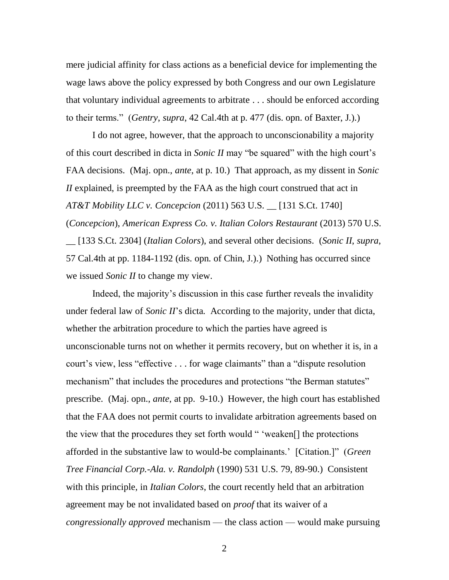mere judicial affinity for class actions as a beneficial device for implementing the wage laws above the policy expressed by both Congress and our own Legislature that voluntary individual agreements to arbitrate . . . should be enforced according to their terms.‖ (*Gentry*, *supra*, 42 Cal.4th at p. 477 (dis. opn. of Baxter, J.).)

I do not agree, however, that the approach to unconscionability a majority of this court described in dicta in *Sonic II* may "be squared" with the high court's FAA decisions. (Maj. opn., *ante*, at p. 10.) That approach, as my dissent in *Sonic II* explained, is preempted by the FAA as the high court construed that act in *AT&T Mobility LLC v. Concepcion* (2011) 563 U.S. \_\_ [131 S.Ct. 1740] (*Concepcion*), *American Express Co. v. Italian Colors Restaurant* (2013) 570 U.S.

\_\_ [133 S.Ct. 2304] (*Italian Colors*), and several other decisions. (*Sonic II*, *supra*, 57 Cal.4th at pp. 1184-1192 (dis. opn. of Chin, J.).) Nothing has occurred since we issued *Sonic II* to change my view.

Indeed, the majority's discussion in this case further reveals the invalidity under federal law of *Sonic II*'s dicta. According to the majority, under that dicta, whether the arbitration procedure to which the parties have agreed is unconscionable turns not on whether it permits recovery, but on whether it is, in a court's view, less "effective . . . for wage claimants" than a "dispute resolution" mechanism" that includes the procedures and protections "the Berman statutes" prescribe. (Maj. opn., *ante*, at pp. 9-10.) However, the high court has established that the FAA does not permit courts to invalidate arbitration agreements based on the view that the procedures they set forth would " 'weaken[] the protections afforded in the substantive law to would-be complainants.' [Citation.]" (*Green Tree Financial Corp.-Ala. v. Randolph* (1990) 531 U.S. 79, 89-90.) Consistent with this principle, in *Italian Colors*, the court recently held that an arbitration agreement may be not invalidated based on *proof* that its waiver of a *congressionally approved* mechanism — the class action — would make pursuing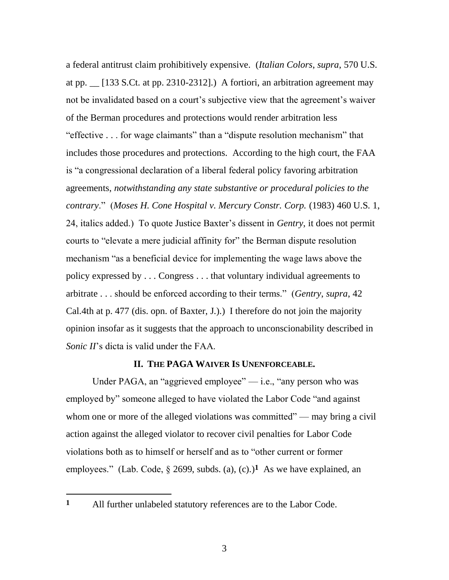a federal antitrust claim prohibitively expensive. (*Italian Colors*, *supra*, 570 U.S. at pp. \_\_ [133 S.Ct. at pp. 2310-2312].) A fortiori, an arbitration agreement may not be invalidated based on a court's subjective view that the agreement's waiver of the Berman procedures and protections would render arbitration less "effective  $\ldots$  for wage claimants" than a "dispute resolution mechanism" that includes those procedures and protections. According to the high court, the FAA is "a congressional declaration of a liberal federal policy favoring arbitration agreements, *notwithstanding any state substantive or procedural policies to the contrary*.‖ (*Moses H. Cone Hospital v. Mercury Constr. Corp.* (1983) 460 U.S. 1, 24, italics added.) To quote Justice Baxter's dissent in *Gentry*, it does not permit courts to "elevate a mere judicial affinity for" the Berman dispute resolution mechanism "as a beneficial device for implementing the wage laws above the policy expressed by . . . Congress . . . that voluntary individual agreements to arbitrate . . . should be enforced according to their terms.‖ (*Gentry*, *supra*, 42 Cal.4th at p. 477 (dis. opn. of Baxter, J.).) I therefore do not join the majority opinion insofar as it suggests that the approach to unconscionability described in *Sonic II*'s dicta is valid under the FAA.

### **II. THE PAGA WAIVER IS UNENFORCEABLE.**

Under PAGA, an "aggrieved employee"  $-$  i.e., "any person who was employed by" someone alleged to have violated the Labor Code "and against" whom one or more of the alleged violations was committed" — may bring a civil action against the alleged violator to recover civil penalties for Labor Code violations both as to himself or herself and as to "other current or former employees." (Lab. Code,  $\S$  2699, subds. (a), (c).)<sup>1</sup> As we have explained, an

# **1** All further unlabeled statutory references are to the Labor Code.

 $\overline{a}$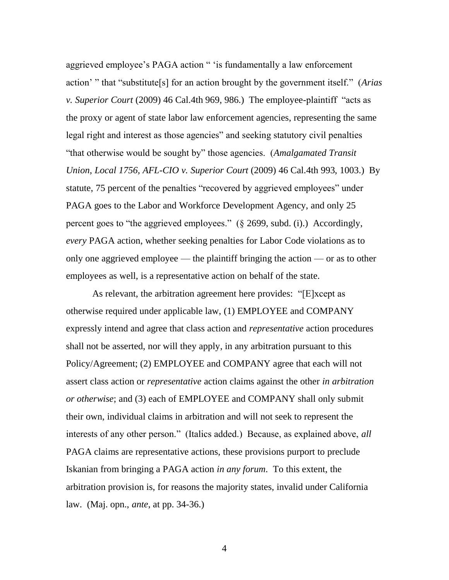aggrieved employee's PAGA action " 'is fundamentally a law enforcement action' " that "substitute<sup>[s]</sup> for an action brought by the government itself." (*Arias v. Superior Court* (2009) 46 Cal.4th 969, 986.) The employee-plaintiff "acts as the proxy or agent of state labor law enforcement agencies, representing the same legal right and interest as those agencies" and seeking statutory civil penalties ―that otherwise would be sought by‖ those agencies. (*Amalgamated Transit Union, Local 1756, AFL-CIO v. Superior Court* (2009) 46 Cal.4th 993, 1003.) By statute, 75 percent of the penalties "recovered by aggrieved employees" under PAGA goes to the Labor and Workforce Development Agency, and only 25 percent goes to "the aggrieved employees."  $(\S$  2699, subd. (i).) Accordingly, *every* PAGA action, whether seeking penalties for Labor Code violations as to only one aggrieved employee — the plaintiff bringing the action — or as to other employees as well, is a representative action on behalf of the state.

As relevant, the arbitration agreement here provides: "[E]xcept as otherwise required under applicable law, (1) EMPLOYEE and COMPANY expressly intend and agree that class action and *representative* action procedures shall not be asserted, nor will they apply, in any arbitration pursuant to this Policy/Agreement; (2) EMPLOYEE and COMPANY agree that each will not assert class action or *representative* action claims against the other *in arbitration or otherwise*; and (3) each of EMPLOYEE and COMPANY shall only submit their own, individual claims in arbitration and will not seek to represent the interests of any other person." (Italics added.) Because, as explained above, *all* PAGA claims are representative actions, these provisions purport to preclude Iskanian from bringing a PAGA action *in any forum*. To this extent, the arbitration provision is, for reasons the majority states, invalid under California law. (Maj. opn., *ante*, at pp. 34-36.)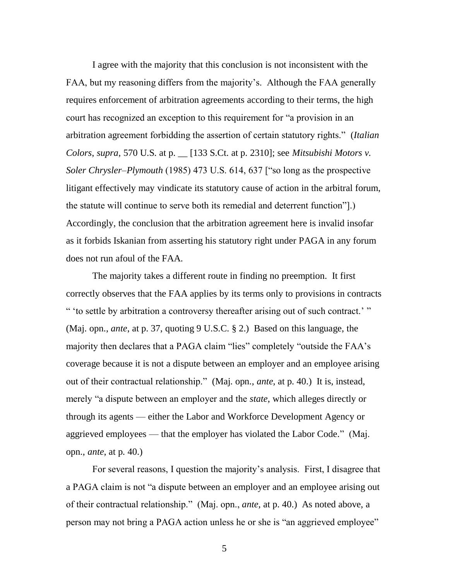I agree with the majority that this conclusion is not inconsistent with the FAA, but my reasoning differs from the majority's. Although the FAA generally requires enforcement of arbitration agreements according to their terms, the high court has recognized an exception to this requirement for "a provision in an arbitration agreement forbidding the assertion of certain statutory rights.‖ (*Italian Colors*, *supra*, 570 U.S. at p. \_\_ [133 S.Ct. at p. 2310]; see *Mitsubishi Motors v. Soler Chrysler–Plymouth* (1985) 473 U.S. 614, 637 ["so long as the prospective litigant effectively may vindicate its statutory cause of action in the arbitral forum, the statute will continue to serve both its remedial and deterrent function".) Accordingly, the conclusion that the arbitration agreement here is invalid insofar as it forbids Iskanian from asserting his statutory right under PAGA in any forum does not run afoul of the FAA.

The majority takes a different route in finding no preemption. It first correctly observes that the FAA applies by its terms only to provisions in contracts " 'to settle by arbitration a controversy thereafter arising out of such contract.' " (Maj. opn., *ante*, at p. 37, quoting 9 U.S.C. § 2.) Based on this language, the majority then declares that a PAGA claim "lies" completely "outside the FAA's coverage because it is not a dispute between an employer and an employee arising out of their contractual relationship." (Maj. opn., *ante*, at p. 40.) It is, instead, merely "a dispute between an employer and the *state*, which alleges directly or through its agents — either the Labor and Workforce Development Agency or aggrieved employees — that the employer has violated the Labor Code." (Maj. opn., *ante*, at p. 40.)

For several reasons, I question the majority's analysis. First, I disagree that a PAGA claim is not "a dispute between an employer and an employee arising out of their contractual relationship.‖ (Maj. opn., *ante*, at p. 40.) As noted above, a person may not bring a PAGA action unless he or she is "an aggrieved employee"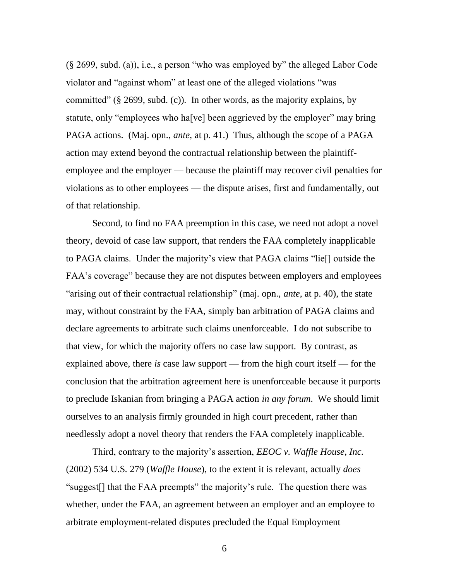$(\S 2699, \text{subd. (a)}),$  i.e., a person "who was employed by" the alleged Labor Code violator and "against whom" at least one of the alleged violations "was committed" (§ 2699, subd. (c)). In other words, as the majority explains, by statute, only "employees who ha[ve] been aggrieved by the employer" may bring PAGA actions. (Maj. opn., *ante*, at p. 41.) Thus, although the scope of a PAGA action may extend beyond the contractual relationship between the plaintiffemployee and the employer — because the plaintiff may recover civil penalties for violations as to other employees — the dispute arises, first and fundamentally, out of that relationship.

Second, to find no FAA preemption in this case, we need not adopt a novel theory, devoid of case law support, that renders the FAA completely inapplicable to PAGA claims. Under the majority's view that PAGA claims "lie<sup>[]</sup> outside the FAA's coverage" because they are not disputes between employers and employees "arising out of their contractual relationship" (maj. opn., *ante*, at p. 40), the state may, without constraint by the FAA, simply ban arbitration of PAGA claims and declare agreements to arbitrate such claims unenforceable. I do not subscribe to that view, for which the majority offers no case law support. By contrast, as explained above, there *is* case law support — from the high court itself — for the conclusion that the arbitration agreement here is unenforceable because it purports to preclude Iskanian from bringing a PAGA action *in any forum*. We should limit ourselves to an analysis firmly grounded in high court precedent, rather than needlessly adopt a novel theory that renders the FAA completely inapplicable.

Third, contrary to the majority's assertion, *EEOC v. Waffle House, Inc.* (2002) 534 U.S. 279 (*Waffle House*), to the extent it is relevant, actually *does*  "suggest<sup>[]</sup> that the FAA preempts" the majority's rule. The question there was whether, under the FAA, an agreement between an employer and an employee to arbitrate employment-related disputes precluded the Equal Employment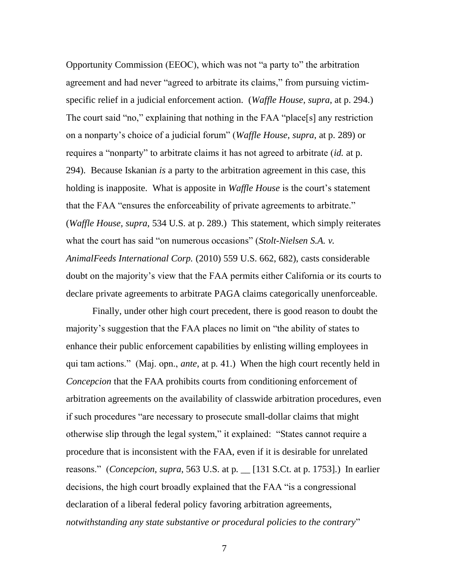Opportunity Commission (EEOC), which was not "a party to" the arbitration agreement and had never "agreed to arbitrate its claims," from pursuing victimspecific relief in a judicial enforcement action. (*Waffle House*, *supra*, at p. 294.) The court said "no," explaining that nothing in the FAA "place[s] any restriction on a nonparty's choice of a judicial forum‖ (*Waffle House*, *supra*, at p. 289) or requires a "nonparty" to arbitrate claims it has not agreed to arbitrate *(id.* at p. 294). Because Iskanian *is* a party to the arbitration agreement in this case, this holding is inapposite. What is apposite in *Waffle House* is the court's statement that the FAA "ensures the enforceability of private agreements to arbitrate." (*Waffle House*, *supra*, 534 U.S. at p. 289.) This statement, which simply reiterates what the court has said "on numerous occasions" (*Stolt-Nielsen S.A. v. AnimalFeeds International Corp.* (2010) 559 U.S. 662, 682), casts considerable doubt on the majority's view that the FAA permits either California or its courts to declare private agreements to arbitrate PAGA claims categorically unenforceable.

Finally, under other high court precedent, there is good reason to doubt the majority's suggestion that the FAA places no limit on "the ability of states to enhance their public enforcement capabilities by enlisting willing employees in qui tam actions.‖ (Maj. opn., *ante*, at p. 41.) When the high court recently held in *Concepcion* that the FAA prohibits courts from conditioning enforcement of arbitration agreements on the availability of classwide arbitration procedures, even if such procedures "are necessary to prosecute small-dollar claims that might otherwise slip through the legal system," it explained: "States cannot require a procedure that is inconsistent with the FAA, even if it is desirable for unrelated reasons." (*Concepcion*, *supra*, 563 U.S. at p.  $\Box$  [131 S.Ct. at p. 1753].) In earlier decisions, the high court broadly explained that the FAA "is a congressional declaration of a liberal federal policy favoring arbitration agreements, notwithstanding any state substantive or procedural policies to the contrary"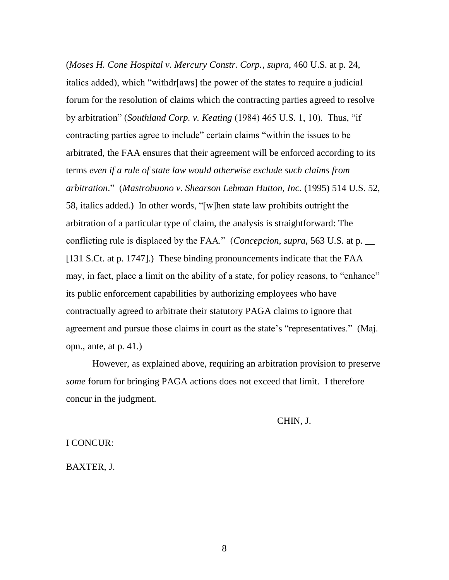(*Moses H. Cone Hospital v. Mercury Constr. Corp.*, *supra*, 460 U.S. at p. 24, italics added), which "withdr[aws] the power of the states to require a judicial forum for the resolution of claims which the contracting parties agreed to resolve by arbitration" (*Southland Corp. v. Keating* (1984) 465 U.S. 1, 10). Thus, "if contracting parties agree to include" certain claims "within the issues to be arbitrated, the FAA ensures that their agreement will be enforced according to its terms *even if a rule of state law would otherwise exclude such claims from arbitration*.‖ (*Mastrobuono v. Shearson Lehman Hutton, Inc.* (1995) 514 U.S. 52, 58, italics added.) In other words, "[w]hen state law prohibits outright the arbitration of a particular type of claim, the analysis is straightforward: The conflicting rule is displaced by the FAA." (*Concepcion*, *supra*, 563 U.S. at p. [131 S.Ct. at p. 1747].) These binding pronouncements indicate that the FAA may, in fact, place a limit on the ability of a state, for policy reasons, to "enhance" its public enforcement capabilities by authorizing employees who have contractually agreed to arbitrate their statutory PAGA claims to ignore that agreement and pursue those claims in court as the state's "representatives." (Maj. opn., ante, at p. 41.)

However, as explained above, requiring an arbitration provision to preserve *some* forum for bringing PAGA actions does not exceed that limit. I therefore concur in the judgment.

CHIN, J.

#### I CONCUR:

BAXTER, J.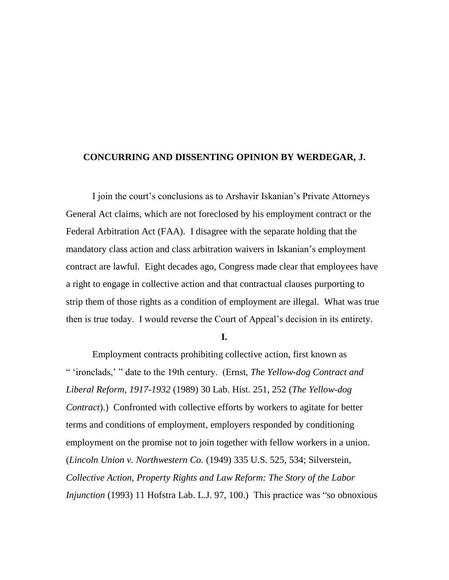### **CONCURRING AND DISSENTING OPINION BY WERDEGAR, J.**

I join the court's conclusions as to Arshavir Iskanian's Private Attorneys General Act claims, which are not foreclosed by his employment contract or the Federal Arbitration Act (FAA). I disagree with the separate holding that the mandatory class action and class arbitration waivers in Iskanian's employment contract are lawful. Eight decades ago, Congress made clear that employees have a right to engage in collective action and that contractual clauses purporting to strip them of those rights as a condition of employment are illegal. What was true then is true today. I would reverse the Court of Appeal's decision in its entirety.

**I.**

Employment contracts prohibiting collective action, first known as ― ‗ironclads,' ‖ date to the 19th century. (Ernst, *The Yellow-dog Contract and Liberal Reform, 1917-1932* (1989) 30 Lab. Hist. 251, 252 (*The Yellow-dog Contract*).) Confronted with collective efforts by workers to agitate for better terms and conditions of employment, employers responded by conditioning employment on the promise not to join together with fellow workers in a union. (*Lincoln Union v. Northwestern Co.* (1949) 335 U.S. 525, 534; Silverstein, *Collective Action, Property Rights and Law Reform: The Story of the Labor Injunction* (1993) 11 Hofstra Lab. L.J. 97, 100.) This practice was "so obnoxious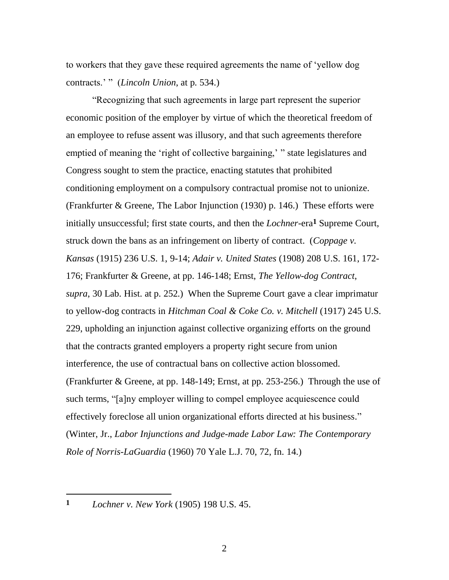to workers that they gave these required agreements the name of ‗yellow dog contracts.' " (*Lincoln Union*, at p. 534.)

―Recognizing that such agreements in large part represent the superior economic position of the employer by virtue of which the theoretical freedom of an employee to refuse assent was illusory, and that such agreements therefore emptied of meaning the 'right of collective bargaining,' " state legislatures and Congress sought to stem the practice, enacting statutes that prohibited conditioning employment on a compulsory contractual promise not to unionize. (Frankfurter & Greene, The Labor Injunction (1930) p. 146.) These efforts were initially unsuccessful; first state courts, and then the *Lochner*-era**1** Supreme Court, struck down the bans as an infringement on liberty of contract. (*Coppage v. Kansas* (1915) 236 U.S. 1, 9-14; *Adair v. United States* (1908) 208 U.S. 161, 172- 176; Frankfurter & Greene, at pp. 146-148; Ernst, *The Yellow-dog Contract*, *supra*, 30 Lab. Hist. at p. 252.) When the Supreme Court gave a clear imprimatur to yellow-dog contracts in *Hitchman Coal & Coke Co. v. Mitchell* (1917) 245 U.S. 229, upholding an injunction against collective organizing efforts on the ground that the contracts granted employers a property right secure from union interference, the use of contractual bans on collective action blossomed. (Frankfurter & Greene, at pp. 148-149; Ernst, at pp. 253-256.) Through the use of such terms, "[a]ny employer willing to compel employee acquiescence could effectively foreclose all union organizational efforts directed at his business." (Winter, Jr., *Labor Injunctions and Judge-made Labor Law: The Contemporary Role of Norris-LaGuardia* (1960) 70 Yale L.J. 70, 72, fn. 14.)

 $\overline{a}$ 

**<sup>1</sup>** *Lochner v. New York* (1905) 198 U.S. 45.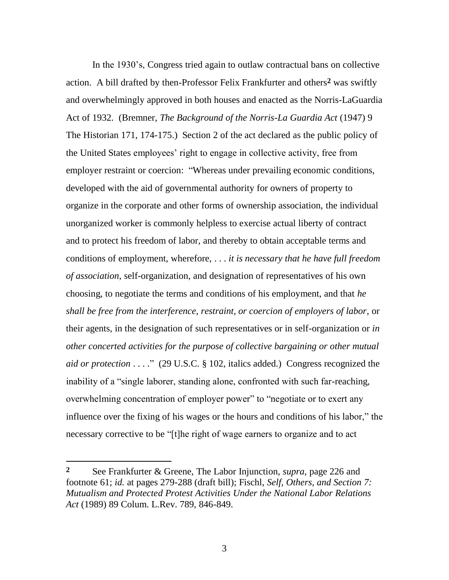In the 1930's, Congress tried again to outlaw contractual bans on collective action. A bill drafted by then-Professor Felix Frankfurter and others**2** was swiftly and overwhelmingly approved in both houses and enacted as the Norris-LaGuardia Act of 1932. (Bremner, *The Background of the Norris-La Guardia Act* (1947) 9 The Historian 171, 174-175.) Section 2 of the act declared as the public policy of the United States employees' right to engage in collective activity, free from employer restraint or coercion: "Whereas under prevailing economic conditions, developed with the aid of governmental authority for owners of property to organize in the corporate and other forms of ownership association, the individual unorganized worker is commonly helpless to exercise actual liberty of contract and to protect his freedom of labor, and thereby to obtain acceptable terms and conditions of employment, wherefore, . . . *it is necessary that he have full freedom of association*, self-organization, and designation of representatives of his own choosing, to negotiate the terms and conditions of his employment, and that *he shall be free from the interference, restraint, or coercion of employers of labor*, or their agents, in the designation of such representatives or in self-organization or *in other concerted activities for the purpose of collective bargaining or other mutual aid or protection*  $\dots$ ." (29 U.S.C. § 102, italics added.) Congress recognized the inability of a "single laborer, standing alone, confronted with such far-reaching, overwhelming concentration of employer power" to "negotiate or to exert any influence over the fixing of his wages or the hours and conditions of his labor," the necessary corrective to be "[t]he right of wage earners to organize and to act

 $\overline{a}$ 

**<sup>2</sup>** See Frankfurter & Greene, The Labor Injunction, *supra*, page 226 and footnote 61; *id.* at pages 279-288 (draft bill); Fischl, *Self, Others, and Section 7: Mutualism and Protected Protest Activities Under the National Labor Relations Act* (1989) 89 Colum. L.Rev. 789, 846-849.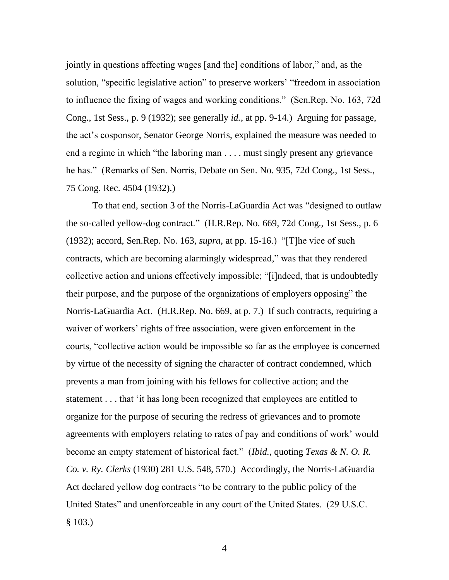jointly in questions affecting wages [and the] conditions of labor," and, as the solution, "specific legislative action" to preserve workers' "freedom in association to influence the fixing of wages and working conditions.‖ (Sen.Rep. No. 163, 72d Cong., 1st Sess., p. 9 (1932); see generally *id.*, at pp. 9-14.) Arguing for passage, the act's cosponsor, Senator George Norris, explained the measure was needed to end a regime in which "the laboring man  $\dots$  must singly present any grievance he has." (Remarks of Sen. Norris, Debate on Sen. No. 935, 72d Cong., 1st Sess., 75 Cong. Rec. 4504 (1932).)

To that end, section 3 of the Norris-LaGuardia Act was "designed to outlaw the so-called yellow-dog contract." (H.R.Rep. No. 669, 72d Cong., 1st Sess., p. 6 (1932); accord, Sen.Rep. No. 163, *supra*, at pp. 15-16.) "[T]he vice of such contracts, which are becoming alarmingly widespread," was that they rendered collective action and unions effectively impossible; "[i]ndeed, that is undoubtedly their purpose, and the purpose of the organizations of employers opposing" the Norris-LaGuardia Act. (H.R.Rep. No. 669, at p. 7.) If such contracts, requiring a waiver of workers' rights of free association, were given enforcement in the courts, "collective action would be impossible so far as the employee is concerned by virtue of the necessity of signing the character of contract condemned, which prevents a man from joining with his fellows for collective action; and the statement . . . that ‗it has long been recognized that employees are entitled to organize for the purpose of securing the redress of grievances and to promote agreements with employers relating to rates of pay and conditions of work' would become an empty statement of historical fact.‖ (*Ibid.*, quoting *Texas & N. O. R. Co. v. Ry. Clerks* (1930) 281 U.S. 548, 570.) Accordingly, the Norris-LaGuardia Act declared yellow dog contracts "to be contrary to the public policy of the United States" and unenforceable in any court of the United States. (29 U.S.C. § 103.)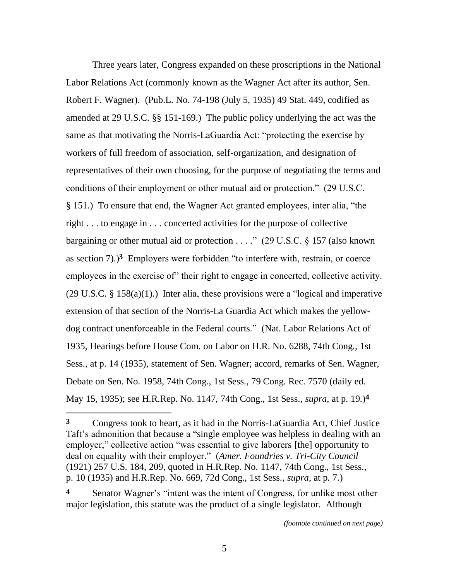Three years later, Congress expanded on these proscriptions in the National Labor Relations Act (commonly known as the Wagner Act after its author, Sen. Robert F. Wagner). (Pub.L. No. 74-198 (July 5, 1935) 49 Stat. 449, codified as amended at 29 U.S.C. §§ 151-169.) The public policy underlying the act was the same as that motivating the Norris-LaGuardia Act: "protecting the exercise by workers of full freedom of association, self-organization, and designation of representatives of their own choosing, for the purpose of negotiating the terms and conditions of their employment or other mutual aid or protection." (29 U.S.C. § 151.) To ensure that end, the Wagner Act granted employees, inter alia, "the right . . . to engage in . . . concerted activities for the purpose of collective bargaining or other mutual aid or protection  $\dots$ ." (29 U.S.C. § 157 (also known as section  $7)$ .)<sup>3</sup> Employers were forbidden "to interfere with, restrain, or coerce employees in the exercise of their right to engage in concerted, collective activity.  $(29 \text{ U.S.C. } \S 158(a)(1))$  Inter alia, these provisions were a "logical and imperative" extension of that section of the Norris-La Guardia Act which makes the yellowdog contract unenforceable in the Federal courts." (Nat. Labor Relations Act of 1935, Hearings before House Com. on Labor on H.R. No. 6288, 74th Cong., 1st Sess., at p. 14 (1935), statement of Sen. Wagner; accord, remarks of Sen. Wagner, Debate on Sen. No. 1958, 74th Cong., 1st Sess., 79 Cong. Rec. 7570 (daily ed. May 15, 1935); see H.R.Rep. No. 1147, 74th Cong., 1st Sess., *supra*, at p. 19.)**4**

**<sup>3</sup>** Congress took to heart, as it had in the Norris-LaGuardia Act, Chief Justice Taft's admonition that because a "single employee was helpless in dealing with an employer," collective action "was essential to give laborers [the] opportunity to deal on equality with their employer.‖ (*Amer. Foundries v. Tri-City Council* (1921) 257 U.S. 184, 209, quoted in H.R.Rep. No. 1147, 74th Cong., 1st Sess., p. 10 (1935) and H.R.Rep. No. 669, 72d Cong., 1st Sess., *supra*, at p. 7.)

Senator Wagner's "intent was the intent of Congress, for unlike most other major legislation, this statute was the product of a single legislator. Although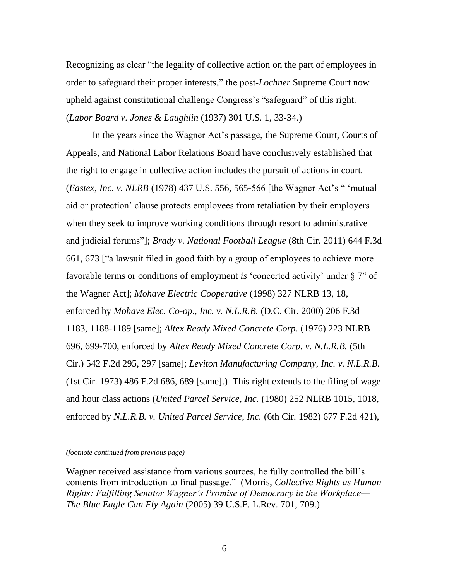Recognizing as clear "the legality of collective action on the part of employees in order to safeguard their proper interests," the post-*Lochner* Supreme Court now upheld against constitutional challenge Congress's "safeguard" of this right. (*Labor Board v. Jones & Laughlin* (1937) 301 U.S. 1, 33-34.)

In the years since the Wagner Act's passage, the Supreme Court, Courts of Appeals, and National Labor Relations Board have conclusively established that the right to engage in collective action includes the pursuit of actions in court. (*Eastex, Inc. v. NLRB* (1978) 437 U.S. 556, 565-566 [the Wagner Act's " 'mutual aid or protection' clause protects employees from retaliation by their employers when they seek to improve working conditions through resort to administrative and judicial forums"]; *Brady v. National Football League* (8th Cir. 2011) 644 F.3d 661, 673 ["a lawsuit filed in good faith by a group of employees to achieve more favorable terms or conditions of employment *is* 'concerted activity' under § 7" of the Wagner Act]; *Mohave Electric Cooperative* (1998) 327 NLRB 13, 18, enforced by *Mohave Elec. Co-op., Inc. v. N.L.R.B.* (D.C. Cir. 2000) 206 F.3d 1183, 1188-1189 [same]; *Altex Ready Mixed Concrete Corp.* (1976) 223 NLRB 696, 699-700, enforced by *Altex Ready Mixed Concrete Corp. v. N.L.R.B.* (5th Cir.) 542 F.2d 295, 297 [same]; *Leviton Manufacturing Company, Inc. v. N.L.R.B.* (1st Cir. 1973) 486 F.2d 686, 689 [same].) This right extends to the filing of wage and hour class actions (*United Parcel Service, Inc.* (1980) 252 NLRB 1015, 1018, enforced by *N.L.R.B. v. United Parcel Service, Inc.* (6th Cir. 1982) 677 F.2d 421),

*(footnote continued from previous page)*

l

Wagner received assistance from various sources, he fully controlled the bill's contents from introduction to final passage.‖ (Morris, *Collective Rights as Human Rights: Fulfilling Senator Wagner's Promise of Democracy in the Workplace— The Blue Eagle Can Fly Again* (2005) 39 U.S.F. L.Rev. 701, 709.)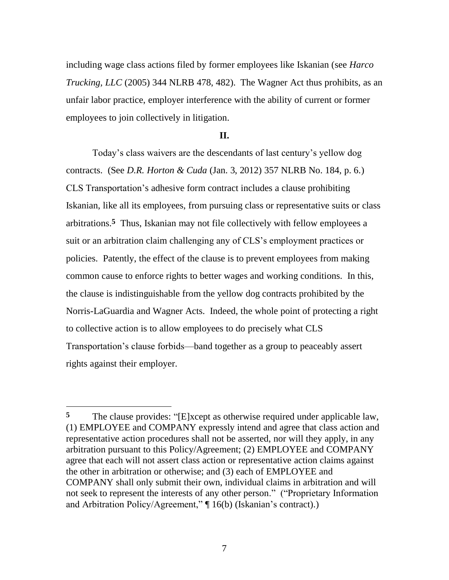including wage class actions filed by former employees like Iskanian (see *Harco Trucking, LLC* (2005) 344 NLRB 478, 482). The Wagner Act thus prohibits, as an unfair labor practice, employer interference with the ability of current or former employees to join collectively in litigation.

### **II.**

Today's class waivers are the descendants of last century's yellow dog contracts. (See *D.R. Horton & Cuda* (Jan. 3, 2012) 357 NLRB No. 184, p. 6.) CLS Transportation's adhesive form contract includes a clause prohibiting Iskanian, like all its employees, from pursuing class or representative suits or class arbitrations.**5** Thus, Iskanian may not file collectively with fellow employees a suit or an arbitration claim challenging any of CLS's employment practices or policies. Patently, the effect of the clause is to prevent employees from making common cause to enforce rights to better wages and working conditions. In this, the clause is indistinguishable from the yellow dog contracts prohibited by the Norris-LaGuardia and Wagner Acts. Indeed, the whole point of protecting a right to collective action is to allow employees to do precisely what CLS Transportation's clause forbids—band together as a group to peaceably assert rights against their employer.

<sup>&</sup>lt;sup>5</sup> The clause provides: "[E]xcept as otherwise required under applicable law, (1) EMPLOYEE and COMPANY expressly intend and agree that class action and representative action procedures shall not be asserted, nor will they apply, in any arbitration pursuant to this Policy/Agreement; (2) EMPLOYEE and COMPANY agree that each will not assert class action or representative action claims against the other in arbitration or otherwise; and (3) each of EMPLOYEE and COMPANY shall only submit their own, individual claims in arbitration and will not seek to represent the interests of any other person." ("Proprietary Information and Arbitration Policy/Agreement,"  $\P$  16(b) (Iskanian's contract).)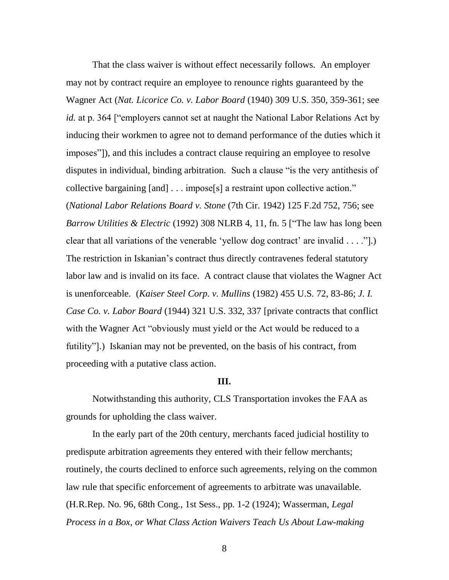That the class waiver is without effect necessarily follows. An employer may not by contract require an employee to renounce rights guaranteed by the Wagner Act (*Nat. Licorice Co. v. Labor Board* (1940) 309 U.S. 350, 359-361; see *id.* at p. 364 ["employers cannot set at naught the National Labor Relations Act by inducing their workmen to agree not to demand performance of the duties which it imposes"]), and this includes a contract clause requiring an employee to resolve disputes in individual, binding arbitration. Such a clause "is the very antithesis of collective bargaining  $[and] \dots$  impose $[s]$  a restraint upon collective action." (*National Labor Relations Board v. Stone* (7th Cir. 1942) 125 F.2d 752, 756; see *Barrow Utilities & Electric* (1992) 308 NLRB 4, 11, fn. 5 ["The law has long been clear that all variations of the venerable 'yellow dog contract' are invalid  $\dots$ .". The restriction in Iskanian's contract thus directly contravenes federal statutory labor law and is invalid on its face. A contract clause that violates the Wagner Act is unenforceable. (*Kaiser Steel Corp. v. Mullins* (1982) 455 U.S. 72, 83-86; *J. I. Case Co. v. Labor Board* (1944) 321 U.S. 332, 337 [private contracts that conflict with the Wagner Act "obviously must yield or the Act would be reduced to a futility"].) Iskanian may not be prevented, on the basis of his contract, from proceeding with a putative class action.

#### **III.**

Notwithstanding this authority, CLS Transportation invokes the FAA as grounds for upholding the class waiver.

In the early part of the 20th century, merchants faced judicial hostility to predispute arbitration agreements they entered with their fellow merchants; routinely, the courts declined to enforce such agreements, relying on the common law rule that specific enforcement of agreements to arbitrate was unavailable. (H.R.Rep. No. 96, 68th Cong., 1st Sess., pp. 1-2 (1924); Wasserman, *Legal Process in a Box, or What Class Action Waivers Teach Us About Law-making*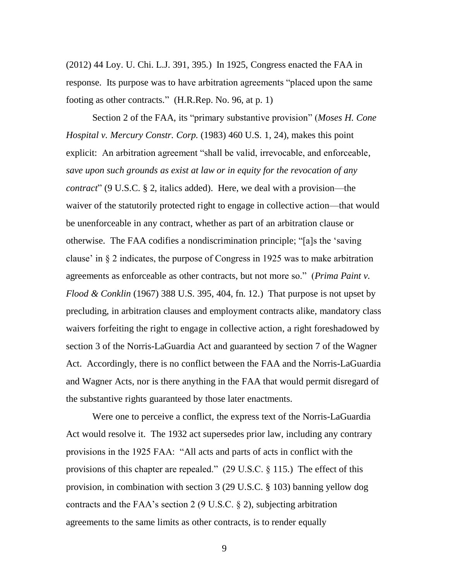(2012) 44 Loy. U. Chi. L.J. 391, 395.) In 1925, Congress enacted the FAA in response. Its purpose was to have arbitration agreements "placed upon the same footing as other contracts." (H.R.Rep. No. 96, at p. 1)

Section 2 of the FAA, its "primary substantive provision" (*Moses H. Cone Hospital v. Mercury Constr. Corp.* (1983) 460 U.S. 1, 24), makes this point explicit: An arbitration agreement "shall be valid, irrevocable, and enforceable, *save upon such grounds as exist at law or in equity for the revocation of any contract*" (9 U.S.C. § 2, italics added). Here, we deal with a provision—the waiver of the statutorily protected right to engage in collective action—that would be unenforceable in any contract, whether as part of an arbitration clause or otherwise. The FAA codifies a nondiscrimination principle; "[a]s the 'saving clause' in § 2 indicates, the purpose of Congress in 1925 was to make arbitration agreements as enforceable as other contracts, but not more so." (*Prima Paint v. Flood & Conklin* (1967) 388 U.S. 395, 404, fn. 12.) That purpose is not upset by precluding, in arbitration clauses and employment contracts alike, mandatory class waivers forfeiting the right to engage in collective action, a right foreshadowed by section 3 of the Norris-LaGuardia Act and guaranteed by section 7 of the Wagner Act. Accordingly, there is no conflict between the FAA and the Norris-LaGuardia and Wagner Acts, nor is there anything in the FAA that would permit disregard of the substantive rights guaranteed by those later enactments.

Were one to perceive a conflict, the express text of the Norris-LaGuardia Act would resolve it. The 1932 act supersedes prior law, including any contrary provisions in the 1925 FAA: "All acts and parts of acts in conflict with the provisions of this chapter are repealed."  $(29 \text{ U.S.C.} \S 115.)$  The effect of this provision, in combination with section 3 (29 U.S.C. § 103) banning yellow dog contracts and the FAA's section 2 (9 U.S.C. § 2), subjecting arbitration agreements to the same limits as other contracts, is to render equally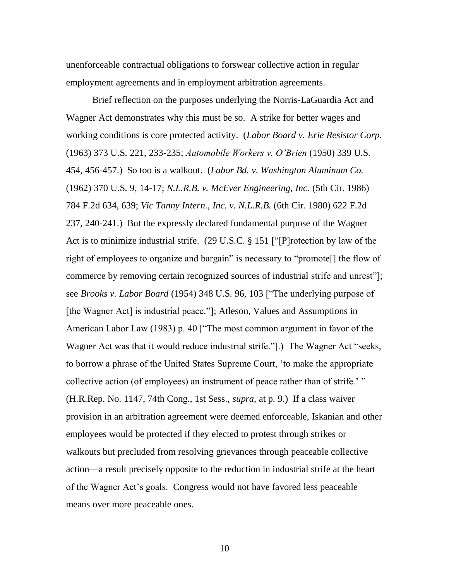unenforceable contractual obligations to forswear collective action in regular employment agreements and in employment arbitration agreements.

Brief reflection on the purposes underlying the Norris-LaGuardia Act and Wagner Act demonstrates why this must be so. A strike for better wages and working conditions is core protected activity. (*Labor Board v. Erie Resistor Corp.* (1963) 373 U.S. 221, 233-235; *Automobile Workers v. O'Brien* (1950) 339 U.S. 454, 456-457.) So too is a walkout. (*Labor Bd. v. Washington Aluminum Co.* (1962) 370 U.S. 9, 14-17; *N.L.R.B. v. McEver Engineering, Inc.* (5th Cir. 1986) 784 F.2d 634, 639; *Vic Tanny Intern., Inc. v. N.L.R.B.* (6th Cir. 1980) 622 F.2d 237, 240-241.) But the expressly declared fundamental purpose of the Wagner Act is to minimize industrial strife.  $(29 \text{ U.S.C.} \S 151 \text{ [``]}$ P]rotection by law of the right of employees to organize and bargain" is necessary to "promote<sup>[]</sup> the flow of commerce by removing certain recognized sources of industrial strife and unrest"]; see *Brooks v. Labor Board* (1954) 348 U.S. 96, 103 ["The underlying purpose of [the Wagner Act] is industrial peace."]; Atleson, Values and Assumptions in American Labor Law (1983) p. 40 ["The most common argument in favor of the Wagner Act was that it would reduce industrial strife."[1]. The Wagner Act "seeks, to borrow a phrase of the United States Supreme Court, ‗to make the appropriate collective action (of employees) an instrument of peace rather than of strife.' " (H.R.Rep. No. 1147, 74th Cong., 1st Sess., *supra*, at p. 9.) If a class waiver provision in an arbitration agreement were deemed enforceable, Iskanian and other employees would be protected if they elected to protest through strikes or walkouts but precluded from resolving grievances through peaceable collective action—a result precisely opposite to the reduction in industrial strife at the heart of the Wagner Act's goals. Congress would not have favored less peaceable means over more peaceable ones.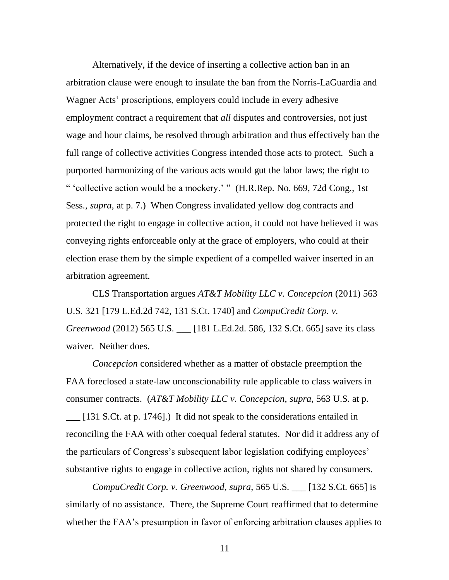Alternatively, if the device of inserting a collective action ban in an arbitration clause were enough to insulate the ban from the Norris-LaGuardia and Wagner Acts' proscriptions, employers could include in every adhesive employment contract a requirement that *all* disputes and controversies, not just wage and hour claims, be resolved through arbitration and thus effectively ban the full range of collective activities Congress intended those acts to protect. Such a purported harmonizing of the various acts would gut the labor laws; the right to " 'collective action would be a mockery.' " (H.R.Rep. No. 669, 72d Cong., 1st Sess., *supra*, at p. 7.) When Congress invalidated yellow dog contracts and protected the right to engage in collective action, it could not have believed it was conveying rights enforceable only at the grace of employers, who could at their election erase them by the simple expedient of a compelled waiver inserted in an arbitration agreement.

CLS Transportation argues *AT&T Mobility LLC v. Concepcion* (2011) 563 U.S. 321 [179 L.Ed.2d 742, 131 S.Ct. 1740] and *CompuCredit Corp. v. Greenwood* (2012) 565 U.S. \_\_\_ [181 L.Ed.2d. 586, 132 S.Ct. 665] save its class waiver. Neither does.

*Concepcion* considered whether as a matter of obstacle preemption the FAA foreclosed a state-law unconscionability rule applicable to class waivers in consumer contracts. (*AT&T Mobility LLC v. Concepcion*, *supra*, 563 U.S. at p. \_\_\_ [131 S.Ct. at p. 1746].) It did not speak to the considerations entailed in reconciling the FAA with other coequal federal statutes. Nor did it address any of the particulars of Congress's subsequent labor legislation codifying employees' substantive rights to engage in collective action, rights not shared by consumers.

*CompuCredit Corp. v. Greenwood*, *supra*, 565 U.S. \_\_\_ [132 S.Ct. 665] is similarly of no assistance. There, the Supreme Court reaffirmed that to determine whether the FAA's presumption in favor of enforcing arbitration clauses applies to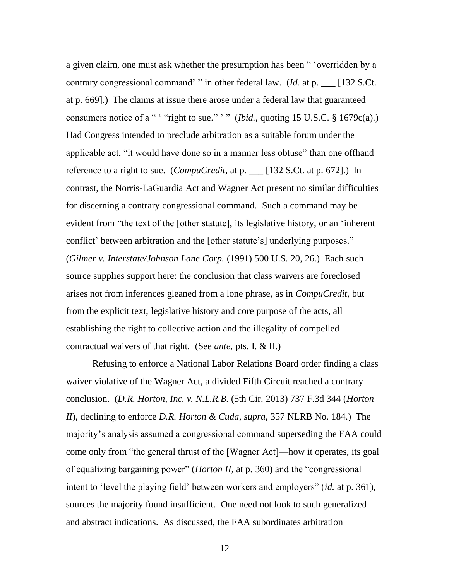a given claim, one must ask whether the presumption has been "verridden by a contrary congressional command' " in other federal law. (*Id.* at p. \_\_ [132 S.Ct. at p. 669].) The claims at issue there arose under a federal law that guaranteed consumers notice of a " ' "right to sue." ' " (*Ibid.*, quoting 15 U.S.C.  $\S$  1679c(a).) Had Congress intended to preclude arbitration as a suitable forum under the applicable act, "it would have done so in a manner less obtuse" than one offhand reference to a right to sue. (*CompuCredit*, at p. \_\_\_ [132 S.Ct. at p. 672].) In contrast, the Norris-LaGuardia Act and Wagner Act present no similar difficulties for discerning a contrary congressional command. Such a command may be evident from "the text of the [other statute], its legislative history, or an 'inherent conflict' between arbitration and the [other statute's] underlying purposes." (*Gilmer v. Interstate/Johnson Lane Corp.* (1991) 500 U.S. 20, 26.) Each such source supplies support here: the conclusion that class waivers are foreclosed arises not from inferences gleaned from a lone phrase, as in *CompuCredit*, but from the explicit text, legislative history and core purpose of the acts, all establishing the right to collective action and the illegality of compelled contractual waivers of that right. (See *ante*, pts. I. & II.)

Refusing to enforce a National Labor Relations Board order finding a class waiver violative of the Wagner Act, a divided Fifth Circuit reached a contrary conclusion. (*D.R. Horton, Inc. v. N.L.R.B.* (5th Cir. 2013) 737 F.3d 344 (*Horton II*), declining to enforce *D.R. Horton & Cuda*, *supra*, 357 NLRB No. 184.) The majority's analysis assumed a congressional command superseding the FAA could come only from "the general thrust of the [Wagner Act]—how it operates, its goal of equalizing bargaining power" (*Horton II*, at p. 360) and the "congressional intent to 'level the playing field' between workers and employers'' *(id.* at p. 361), sources the majority found insufficient. One need not look to such generalized and abstract indications. As discussed, the FAA subordinates arbitration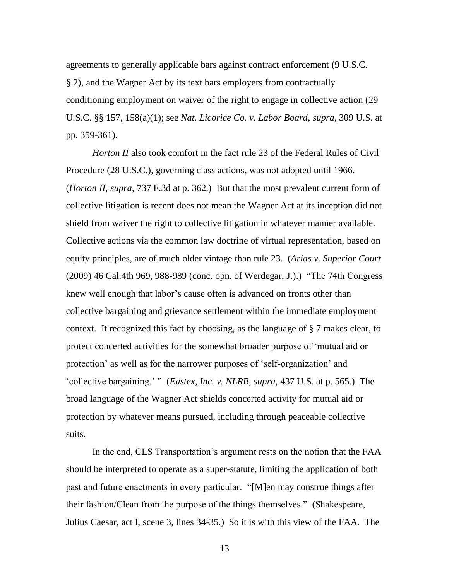agreements to generally applicable bars against contract enforcement (9 U.S.C. § 2), and the Wagner Act by its text bars employers from contractually conditioning employment on waiver of the right to engage in collective action (29 U.S.C. §§ 157, 158(a)(1); see *Nat. Licorice Co. v. Labor Board*, *supra*, 309 U.S. at pp. 359-361).

*Horton II* also took comfort in the fact rule 23 of the Federal Rules of Civil Procedure (28 U.S.C.), governing class actions, was not adopted until 1966. (*Horton II*, *supra*, 737 F.3d at p. 362.) But that the most prevalent current form of collective litigation is recent does not mean the Wagner Act at its inception did not shield from waiver the right to collective litigation in whatever manner available. Collective actions via the common law doctrine of virtual representation, based on equity principles, are of much older vintage than rule 23. (*Arias v. Superior Court* (2009) 46 Cal.4th 969, 988-989 (conc. opn. of Werdegar, J.).) "The 74th Congress knew well enough that labor's cause often is advanced on fronts other than collective bargaining and grievance settlement within the immediate employment context. It recognized this fact by choosing, as the language of § 7 makes clear, to protect concerted activities for the somewhat broader purpose of ‗mutual aid or protection' as well as for the narrower purposes of ‗self-organization' and ‗collective bargaining.' ‖ (*Eastex, Inc. v. NLRB*, *supra*, 437 U.S. at p. 565.) The broad language of the Wagner Act shields concerted activity for mutual aid or protection by whatever means pursued, including through peaceable collective suits.

In the end, CLS Transportation's argument rests on the notion that the FAA should be interpreted to operate as a super-statute, limiting the application of both past and future enactments in every particular. "[M]en may construe things after their fashion/Clean from the purpose of the things themselves.‖ (Shakespeare, Julius Caesar, act I, scene 3, lines 34-35.) So it is with this view of the FAA. The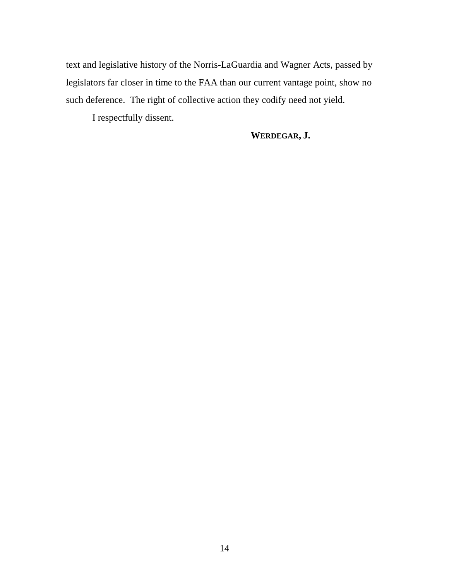text and legislative history of the Norris-LaGuardia and Wagner Acts, passed by legislators far closer in time to the FAA than our current vantage point, show no such deference. The right of collective action they codify need not yield.

I respectfully dissent.

**WERDEGAR, J.**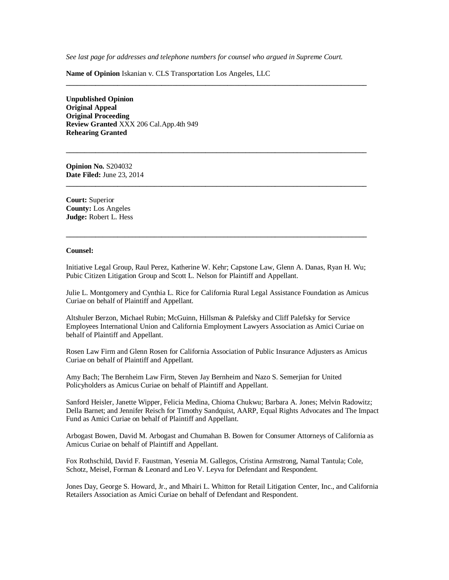*See last page for addresses and telephone numbers for counsel who argued in Supreme Court.*

**\_\_\_\_\_\_\_\_\_\_\_\_\_\_\_\_\_\_\_\_\_\_\_\_\_\_\_\_\_\_\_\_\_\_\_\_\_\_\_\_\_\_\_\_\_\_\_\_\_\_\_\_\_\_\_\_\_\_\_\_\_\_\_\_\_\_\_\_\_\_\_\_\_\_\_\_\_\_\_\_\_\_**

**\_\_\_\_\_\_\_\_\_\_\_\_\_\_\_\_\_\_\_\_\_\_\_\_\_\_\_\_\_\_\_\_\_\_\_\_\_\_\_\_\_\_\_\_\_\_\_\_\_\_\_\_\_\_\_\_\_\_\_\_\_\_\_\_\_\_\_\_\_\_\_\_\_\_\_\_\_\_\_\_\_\_**

**\_\_\_\_\_\_\_\_\_\_\_\_\_\_\_\_\_\_\_\_\_\_\_\_\_\_\_\_\_\_\_\_\_\_\_\_\_\_\_\_\_\_\_\_\_\_\_\_\_\_\_\_\_\_\_\_\_\_\_\_\_\_\_\_\_\_\_\_\_\_\_\_\_\_\_\_\_\_\_\_\_\_**

**Name of Opinion** Iskanian v. CLS Transportation Los Angeles, LLC

**Unpublished Opinion Original Appeal Original Proceeding Review Granted** XXX 206 Cal.App.4th 949 **Rehearing Granted**

**Opinion No.** S204032 **Date Filed:** June 23, 2014

**Court:** Superior **County:** Los Angeles **Judge:** Robert L. Hess

#### **Counsel:**

Initiative Legal Group, Raul Perez, Katherine W. Kehr; Capstone Law, Glenn A. Danas, Ryan H. Wu; Pubic Citizen Litigation Group and Scott L. Nelson for Plaintiff and Appellant.

**\_\_\_\_\_\_\_\_\_\_\_\_\_\_\_\_\_\_\_\_\_\_\_\_\_\_\_\_\_\_\_\_\_\_\_\_\_\_\_\_\_\_\_\_\_\_\_\_\_\_\_\_\_\_\_\_\_\_\_\_\_\_\_\_\_\_\_\_\_\_\_\_\_\_\_\_\_\_\_\_\_\_**

Julie L. Montgomery and Cynthia L. Rice for California Rural Legal Assistance Foundation as Amicus Curiae on behalf of Plaintiff and Appellant.

Altshuler Berzon, Michael Rubin; McGuinn, Hillsman & Palefsky and Cliff Palefsky for Service Employees International Union and California Employment Lawyers Association as Amici Curiae on behalf of Plaintiff and Appellant.

Rosen Law Firm and Glenn Rosen for California Association of Public Insurance Adjusters as Amicus Curiae on behalf of Plaintiff and Appellant.

Amy Bach; The Bernheim Law Firm, Steven Jay Bernheim and Nazo S. Semerjian for United Policyholders as Amicus Curiae on behalf of Plaintiff and Appellant.

Sanford Heisler, Janette Wipper, Felicia Medina, Chioma Chukwu; Barbara A. Jones; Melvin Radowitz; Della Barnet; and Jennifer Reisch for Timothy Sandquist, AARP, Equal Rights Advocates and The Impact Fund as Amici Curiae on behalf of Plaintiff and Appellant.

Arbogast Bowen, David M. Arbogast and Chumahan B. Bowen for Consumer Attorneys of California as Amicus Curiae on behalf of Plaintiff and Appellant.

Fox Rothschild, David F. Faustman, Yesenia M. Gallegos, Cristina Armstrong, Namal Tantula; Cole, Schotz, Meisel, Forman & Leonard and Leo V. Leyva for Defendant and Respondent.

Jones Day, George S. Howard, Jr., and Mhairi L. Whitton for Retail Litigation Center, Inc., and California Retailers Association as Amici Curiae on behalf of Defendant and Respondent.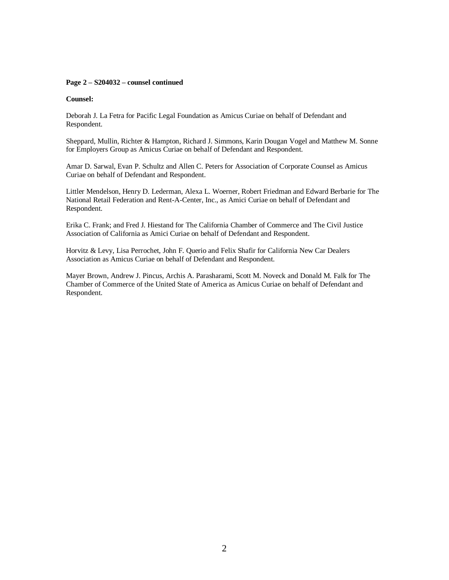#### **Page 2 – S204032 – counsel continued**

#### **Counsel:**

Deborah J. La Fetra for Pacific Legal Foundation as Amicus Curiae on behalf of Defendant and Respondent.

Sheppard, Mullin, Richter & Hampton, Richard J. Simmons, Karin Dougan Vogel and Matthew M. Sonne for Employers Group as Amicus Curiae on behalf of Defendant and Respondent.

Amar D. Sarwal, Evan P. Schultz and Allen C. Peters for Association of Corporate Counsel as Amicus Curiae on behalf of Defendant and Respondent.

Littler Mendelson, Henry D. Lederman, Alexa L. Woerner, Robert Friedman and Edward Berbarie for The National Retail Federation and Rent-A-Center, Inc., as Amici Curiae on behalf of Defendant and Respondent.

Erika C. Frank; and Fred J. Hiestand for The California Chamber of Commerce and The Civil Justice Association of California as Amici Curiae on behalf of Defendant and Respondent.

Horvitz & Levy, Lisa Perrochet, John F. Querio and Felix Shafir for California New Car Dealers Association as Amicus Curiae on behalf of Defendant and Respondent.

Mayer Brown, Andrew J. Pincus, Archis A. Parasharami, Scott M. Noveck and Donald M. Falk for The Chamber of Commerce of the United State of America as Amicus Curiae on behalf of Defendant and Respondent.